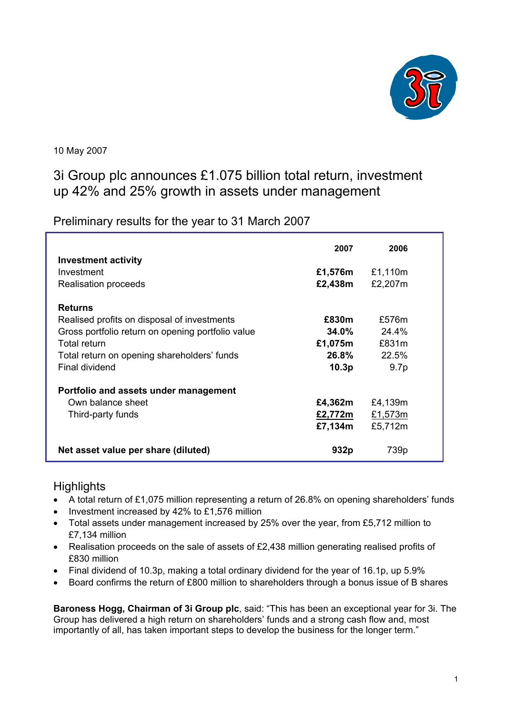

10 May 2007

# 3i Group plc announces £1.075 billion total return, investment up 42% and 25% growth in assets under management

Preliminary results for the year to 31 March 2007

| <b>Investment activity</b>                        | 2007              | 2006             |  |
|---------------------------------------------------|-------------------|------------------|--|
| Investment                                        | £1,576m           | £1,110m          |  |
| Realisation proceeds                              | £2,438m           | £2,207m          |  |
| <b>Returns</b>                                    |                   |                  |  |
| Realised profits on disposal of investments       | £830m             | £576m            |  |
| Gross portfolio return on opening portfolio value | 34.0%             | $24.4\%$         |  |
| <b>Total return</b>                               | £1,075m           | £831m            |  |
| Total return on opening shareholders' funds       | 26.8%             | 22.5%            |  |
| Final dividend                                    | 10.3 <sub>p</sub> | 9.7 <sub>p</sub> |  |
| Portfolio and assets under management             |                   |                  |  |
| Own balance sheet                                 | £4,362m           | £4,139m          |  |
| Third-party funds                                 | £2,772m           | £1,573m          |  |
|                                                   | £7,134m           | £5,712m          |  |
| Net asset value per share (diluted)               | 932p              | 739p             |  |

# **Highlights**

- A total return of £1,075 million representing a return of 26.8% on opening shareholders' funds
- Investment increased by 42% to £1,576 million
- Total assets under management increased by 25% over the year, from £5,712 million to £7,134 million
- Realisation proceeds on the sale of assets of £2,438 million generating realised profits of £830 million
- Final dividend of 10.3p, making a total ordinary dividend for the year of 16.1p, up 5.9%
- Board confirms the return of £800 million to shareholders through a bonus issue of B shares

**Baroness Hogg, Chairman of 3i Group plc**, said: "This has been an exceptional year for 3i. The Group has delivered a high return on shareholders' funds and a strong cash flow and, most importantly of all, has taken important steps to develop the business for the longer term."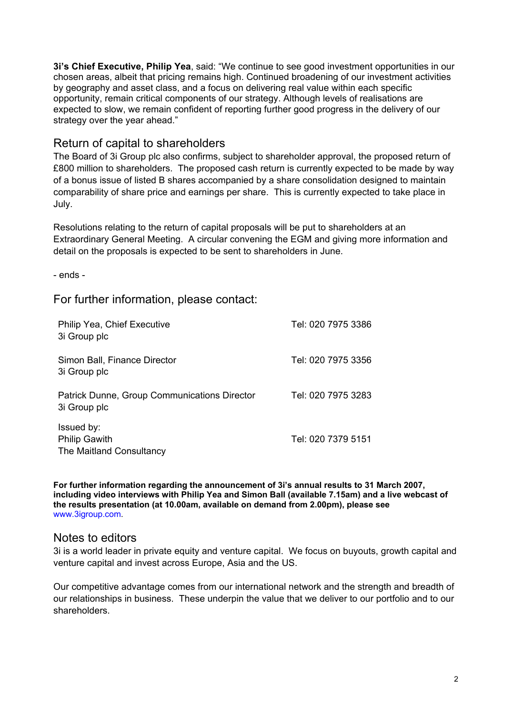**3i's Chief Executive, Philip Yea**, said: "We continue to see good investment opportunities in our chosen areas, albeit that pricing remains high. Continued broadening of our investment activities by geography and asset class, and a focus on delivering real value within each specific opportunity, remain critical components of our strategy. Although levels of realisations are expected to slow, we remain confident of reporting further good progress in the delivery of our strategy over the year ahead."

# Return of capital to shareholders

The Board of 3i Group plc also confirms, subject to shareholder approval, the proposed return of £800 million to shareholders. The proposed cash return is currently expected to be made by way of a bonus issue of listed B shares accompanied by a share consolidation designed to maintain comparability of share price and earnings per share. This is currently expected to take place in July.

Resolutions relating to the return of capital proposals will be put to shareholders at an Extraordinary General Meeting. A circular convening the EGM and giving more information and detail on the proposals is expected to be sent to shareholders in June.

- ends -

# For further information, please contact:

| Philip Yea, Chief Executive<br>3i Group plc                    | Tel: 020 7975 3386 |
|----------------------------------------------------------------|--------------------|
| Simon Ball, Finance Director<br>3i Group plc                   | Tel: 020 7975 3356 |
| Patrick Dunne, Group Communications Director<br>3i Group plc   | Tel: 020 7975 3283 |
| Issued by:<br><b>Philip Gawith</b><br>The Maitland Consultancy | Tel: 020 7379 5151 |

**For further information regarding the announcement of 3i's annual results to 31 March 2007, including video interviews with Philip Yea and Simon Ball (available 7.15am) and a live webcast of the results presentation (at 10.00am, available on demand from 2.00pm), please see**  www.3igroup.com.

# Notes to editors

3i is a world leader in private equity and venture capital. We focus on buyouts, growth capital and venture capital and invest across Europe, Asia and the US.

Our competitive advantage comes from our international network and the strength and breadth of our relationships in business. These underpin the value that we deliver to our portfolio and to our shareholders.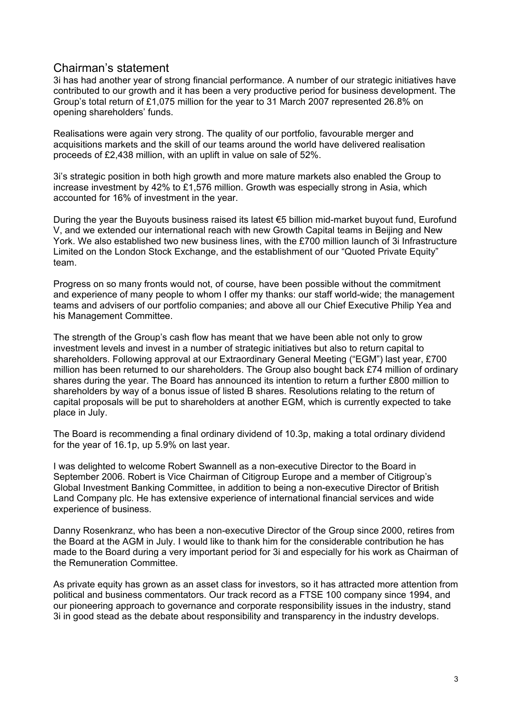# Chairman's statement

3i has had another year of strong financial performance. A number of our strategic initiatives have contributed to our growth and it has been a very productive period for business development. The Group's total return of £1,075 million for the year to 31 March 2007 represented 26.8% on opening shareholders' funds.

Realisations were again very strong. The quality of our portfolio, favourable merger and acquisitions markets and the skill of our teams around the world have delivered realisation proceeds of £2,438 million, with an uplift in value on sale of 52%.

3i's strategic position in both high growth and more mature markets also enabled the Group to increase investment by 42% to £1,576 million. Growth was especially strong in Asia, which accounted for 16% of investment in the year.

During the year the Buyouts business raised its latest €5 billion mid-market buyout fund, Eurofund V, and we extended our international reach with new Growth Capital teams in Beijing and New York. We also established two new business lines, with the £700 million launch of 3i Infrastructure Limited on the London Stock Exchange, and the establishment of our "Quoted Private Equity" team.

Progress on so many fronts would not, of course, have been possible without the commitment and experience of many people to whom I offer my thanks: our staff world-wide; the management teams and advisers of our portfolio companies; and above all our Chief Executive Philip Yea and his Management Committee.

The strength of the Group's cash flow has meant that we have been able not only to grow investment levels and invest in a number of strategic initiatives but also to return capital to shareholders. Following approval at our Extraordinary General Meeting ("EGM") last year, £700 million has been returned to our shareholders. The Group also bought back £74 million of ordinary shares during the year. The Board has announced its intention to return a further £800 million to shareholders by way of a bonus issue of listed B shares. Resolutions relating to the return of capital proposals will be put to shareholders at another EGM, which is currently expected to take place in July.

The Board is recommending a final ordinary dividend of 10.3p, making a total ordinary dividend for the year of 16.1p, up 5.9% on last year.

I was delighted to welcome Robert Swannell as a non-executive Director to the Board in September 2006. Robert is Vice Chairman of Citigroup Europe and a member of Citigroup's Global Investment Banking Committee, in addition to being a non-executive Director of British Land Company plc. He has extensive experience of international financial services and wide experience of business.

Danny Rosenkranz, who has been a non-executive Director of the Group since 2000, retires from the Board at the AGM in July. I would like to thank him for the considerable contribution he has made to the Board during a very important period for 3i and especially for his work as Chairman of the Remuneration Committee.

As private equity has grown as an asset class for investors, so it has attracted more attention from political and business commentators. Our track record as a FTSE 100 company since 1994, and our pioneering approach to governance and corporate responsibility issues in the industry, stand 3i in good stead as the debate about responsibility and transparency in the industry develops.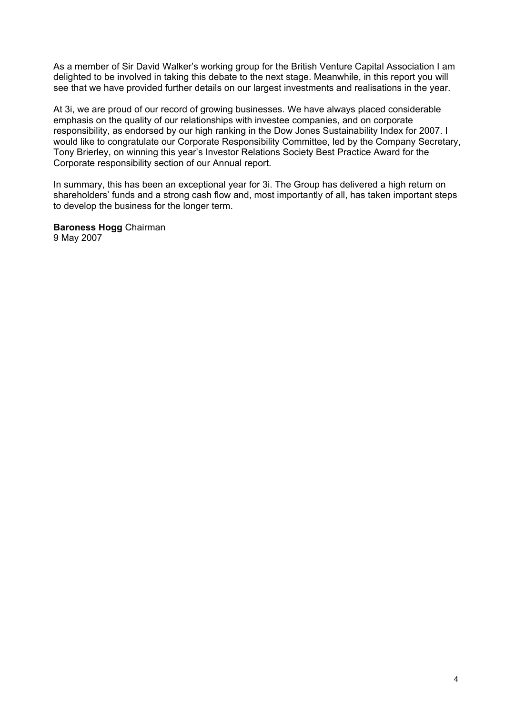As a member of Sir David Walker's working group for the British Venture Capital Association I am delighted to be involved in taking this debate to the next stage. Meanwhile, in this report you will see that we have provided further details on our largest investments and realisations in the year.

At 3i, we are proud of our record of growing businesses. We have always placed considerable emphasis on the quality of our relationships with investee companies, and on corporate responsibility, as endorsed by our high ranking in the Dow Jones Sustainability Index for 2007. I would like to congratulate our Corporate Responsibility Committee, led by the Company Secretary, Tony Brierley, on winning this year's Investor Relations Society Best Practice Award for the Corporate responsibility section of our Annual report.

In summary, this has been an exceptional year for 3i. The Group has delivered a high return on shareholders' funds and a strong cash flow and, most importantly of all, has taken important steps to develop the business for the longer term.

**Baroness Hogg** Chairman 9 May 2007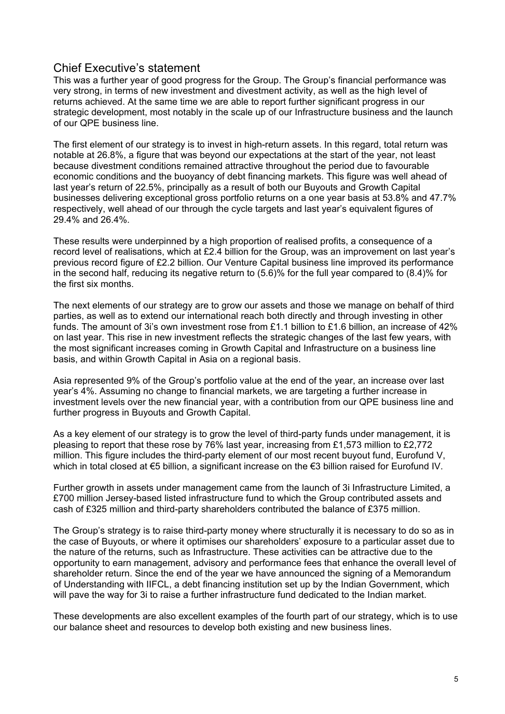# Chief Executive's statement

This was a further year of good progress for the Group. The Group's financial performance was very strong, in terms of new investment and divestment activity, as well as the high level of returns achieved. At the same time we are able to report further significant progress in our strategic development, most notably in the scale up of our Infrastructure business and the launch of our QPE business line.

The first element of our strategy is to invest in high-return assets. In this regard, total return was notable at 26.8%, a figure that was beyond our expectations at the start of the year, not least because divestment conditions remained attractive throughout the period due to favourable economic conditions and the buoyancy of debt financing markets. This figure was well ahead of last year's return of 22.5%, principally as a result of both our Buyouts and Growth Capital businesses delivering exceptional gross portfolio returns on a one year basis at 53.8% and 47.7% respectively, well ahead of our through the cycle targets and last year's equivalent figures of 29.4% and 26.4%.

These results were underpinned by a high proportion of realised profits, a consequence of a record level of realisations, which at £2.4 billion for the Group, was an improvement on last year's previous record figure of £2.2 billion. Our Venture Capital business line improved its performance in the second half, reducing its negative return to (5.6)% for the full year compared to (8.4)% for the first six months.

The next elements of our strategy are to grow our assets and those we manage on behalf of third parties, as well as to extend our international reach both directly and through investing in other funds. The amount of 3i's own investment rose from £1.1 billion to £1.6 billion, an increase of 42% on last year. This rise in new investment reflects the strategic changes of the last few years, with the most significant increases coming in Growth Capital and Infrastructure on a business line basis, and within Growth Capital in Asia on a regional basis.

Asia represented 9% of the Group's portfolio value at the end of the year, an increase over last year's 4%. Assuming no change to financial markets, we are targeting a further increase in investment levels over the new financial year, with a contribution from our QPE business line and further progress in Buyouts and Growth Capital.

As a key element of our strategy is to grow the level of third-party funds under management, it is pleasing to report that these rose by 76% last year, increasing from £1,573 million to £2,772 million. This figure includes the third-party element of our most recent buyout fund, Eurofund V, which in total closed at €5 billion, a significant increase on the €3 billion raised for Eurofund IV.

Further growth in assets under management came from the launch of 3i Infrastructure Limited, a £700 million Jersey-based listed infrastructure fund to which the Group contributed assets and cash of £325 million and third-party shareholders contributed the balance of £375 million.

The Group's strategy is to raise third-party money where structurally it is necessary to do so as in the case of Buyouts, or where it optimises our shareholders' exposure to a particular asset due to the nature of the returns, such as Infrastructure. These activities can be attractive due to the opportunity to earn management, advisory and performance fees that enhance the overall level of shareholder return. Since the end of the year we have announced the signing of a Memorandum of Understanding with IIFCL, a debt financing institution set up by the Indian Government, which will pave the way for 3i to raise a further infrastructure fund dedicated to the Indian market.

These developments are also excellent examples of the fourth part of our strategy, which is to use our balance sheet and resources to develop both existing and new business lines.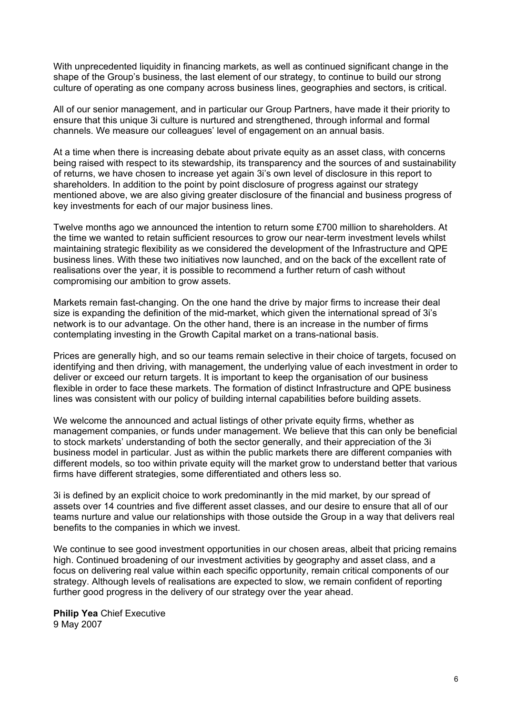With unprecedented liquidity in financing markets, as well as continued significant change in the shape of the Group's business, the last element of our strategy, to continue to build our strong culture of operating as one company across business lines, geographies and sectors, is critical.

All of our senior management, and in particular our Group Partners, have made it their priority to ensure that this unique 3i culture is nurtured and strengthened, through informal and formal channels. We measure our colleagues' level of engagement on an annual basis.

At a time when there is increasing debate about private equity as an asset class, with concerns being raised with respect to its stewardship, its transparency and the sources of and sustainability of returns, we have chosen to increase yet again 3i's own level of disclosure in this report to shareholders. In addition to the point by point disclosure of progress against our strategy mentioned above, we are also giving greater disclosure of the financial and business progress of key investments for each of our major business lines.

Twelve months ago we announced the intention to return some £700 million to shareholders. At the time we wanted to retain sufficient resources to grow our near-term investment levels whilst maintaining strategic flexibility as we considered the development of the Infrastructure and QPE business lines. With these two initiatives now launched, and on the back of the excellent rate of realisations over the year, it is possible to recommend a further return of cash without compromising our ambition to grow assets.

Markets remain fast-changing. On the one hand the drive by major firms to increase their deal size is expanding the definition of the mid-market, which given the international spread of 3i's network is to our advantage. On the other hand, there is an increase in the number of firms contemplating investing in the Growth Capital market on a trans-national basis.

Prices are generally high, and so our teams remain selective in their choice of targets, focused on identifying and then driving, with management, the underlying value of each investment in order to deliver or exceed our return targets. It is important to keep the organisation of our business flexible in order to face these markets. The formation of distinct Infrastructure and QPE business lines was consistent with our policy of building internal capabilities before building assets.

We welcome the announced and actual listings of other private equity firms, whether as management companies, or funds under management. We believe that this can only be beneficial to stock markets' understanding of both the sector generally, and their appreciation of the 3i business model in particular. Just as within the public markets there are different companies with different models, so too within private equity will the market grow to understand better that various firms have different strategies, some differentiated and others less so.

3i is defined by an explicit choice to work predominantly in the mid market, by our spread of assets over 14 countries and five different asset classes, and our desire to ensure that all of our teams nurture and value our relationships with those outside the Group in a way that delivers real benefits to the companies in which we invest.

We continue to see good investment opportunities in our chosen areas, albeit that pricing remains high. Continued broadening of our investment activities by geography and asset class, and a focus on delivering real value within each specific opportunity, remain critical components of our strategy. Although levels of realisations are expected to slow, we remain confident of reporting further good progress in the delivery of our strategy over the year ahead.

**Philip Yea** Chief Executive 9 May 2007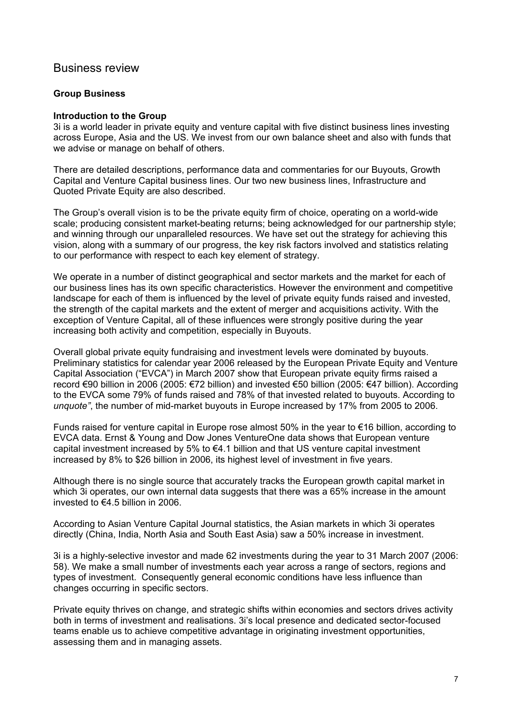# Business review

### **Group Business**

### **Introduction to the Group**

3i is a world leader in private equity and venture capital with five distinct business lines investing across Europe, Asia and the US. We invest from our own balance sheet and also with funds that we advise or manage on behalf of others.

There are detailed descriptions, performance data and commentaries for our Buyouts, Growth Capital and Venture Capital business lines. Our two new business lines, Infrastructure and Quoted Private Equity are also described.

The Group's overall vision is to be the private equity firm of choice, operating on a world-wide scale; producing consistent market-beating returns; being acknowledged for our partnership style; and winning through our unparalleled resources. We have set out the strategy for achieving this vision, along with a summary of our progress, the key risk factors involved and statistics relating to our performance with respect to each key element of strategy.

We operate in a number of distinct geographical and sector markets and the market for each of our business lines has its own specific characteristics. However the environment and competitive landscape for each of them is influenced by the level of private equity funds raised and invested, the strength of the capital markets and the extent of merger and acquisitions activity. With the exception of Venture Capital, all of these influences were strongly positive during the year increasing both activity and competition, especially in Buyouts.

Overall global private equity fundraising and investment levels were dominated by buyouts. Preliminary statistics for calendar year 2006 released by the European Private Equity and Venture Capital Association ("EVCA") in March 2007 show that European private equity firms raised a record €90 billion in 2006 (2005: €72 billion) and invested €50 billion (2005: €47 billion). According to the EVCA some 79% of funds raised and 78% of that invested related to buyouts. According to *unquote"*, the number of mid-market buyouts in Europe increased by 17% from 2005 to 2006.

Funds raised for venture capital in Europe rose almost 50% in the year to €16 billion, according to EVCA data. Ernst & Young and Dow Jones VentureOne data shows that European venture capital investment increased by 5% to  $€4.1$  billion and that US venture capital investment increased by 8% to \$26 billion in 2006, its highest level of investment in five years.

Although there is no single source that accurately tracks the European growth capital market in which 3i operates, our own internal data suggests that there was a 65% increase in the amount invested to €4.5 billion in 2006.

According to Asian Venture Capital Journal statistics, the Asian markets in which 3i operates directly (China, India, North Asia and South East Asia) saw a 50% increase in investment.

3i is a highly-selective investor and made 62 investments during the year to 31 March 2007 (2006: 58). We make a small number of investments each year across a range of sectors, regions and types of investment. Consequently general economic conditions have less influence than changes occurring in specific sectors.

Private equity thrives on change, and strategic shifts within economies and sectors drives activity both in terms of investment and realisations. 3i's local presence and dedicated sector-focused teams enable us to achieve competitive advantage in originating investment opportunities, assessing them and in managing assets.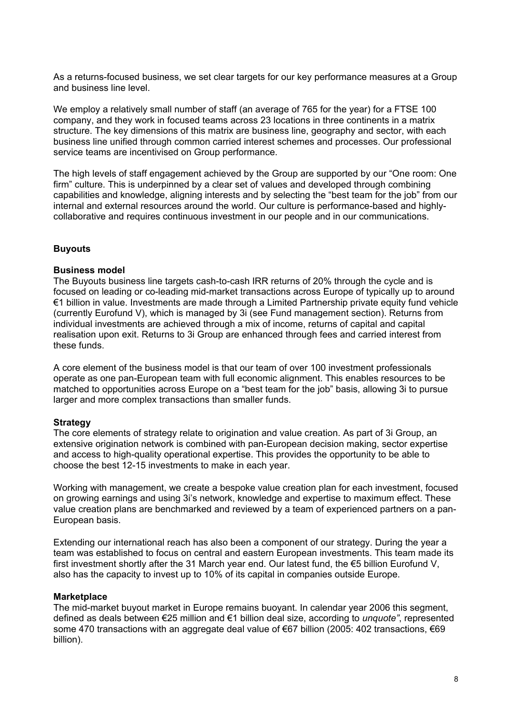As a returns-focused business, we set clear targets for our key performance measures at a Group and business line level.

We employ a relatively small number of staff (an average of 765 for the year) for a FTSE 100 company, and they work in focused teams across 23 locations in three continents in a matrix structure. The key dimensions of this matrix are business line, geography and sector, with each business line unified through common carried interest schemes and processes. Our professional service teams are incentivised on Group performance.

The high levels of staff engagement achieved by the Group are supported by our "One room: One firm" culture. This is underpinned by a clear set of values and developed through combining capabilities and knowledge, aligning interests and by selecting the "best team for the job" from our internal and external resources around the world. Our culture is performance-based and highlycollaborative and requires continuous investment in our people and in our communications.

# **Buyouts**

# **Business model**

The Buyouts business line targets cash-to-cash IRR returns of 20% through the cycle and is focused on leading or co-leading mid-market transactions across Europe of typically up to around €1 billion in value. Investments are made through a Limited Partnership private equity fund vehicle (currently Eurofund V), which is managed by 3i (see Fund management section). Returns from individual investments are achieved through a mix of income, returns of capital and capital realisation upon exit. Returns to 3i Group are enhanced through fees and carried interest from these funds.

A core element of the business model is that our team of over 100 investment professionals operate as one pan-European team with full economic alignment. This enables resources to be matched to opportunities across Europe on a "best team for the job" basis, allowing 3i to pursue larger and more complex transactions than smaller funds.

# **Strategy**

The core elements of strategy relate to origination and value creation. As part of 3i Group, an extensive origination network is combined with pan-European decision making, sector expertise and access to high-quality operational expertise. This provides the opportunity to be able to choose the best 12-15 investments to make in each year.

Working with management, we create a bespoke value creation plan for each investment, focused on growing earnings and using 3i's network, knowledge and expertise to maximum effect. These value creation plans are benchmarked and reviewed by a team of experienced partners on a pan-European basis.

Extending our international reach has also been a component of our strategy. During the year a team was established to focus on central and eastern European investments. This team made its first investment shortly after the 31 March year end. Our latest fund, the  $\epsilon$ 5 billion Eurofund V, also has the capacity to invest up to 10% of its capital in companies outside Europe.

# **Marketplace**

The mid-market buyout market in Europe remains buoyant. In calendar year 2006 this segment, defined as deals between €25 million and €1 billion deal size, according to *unquote"*, represented some 470 transactions with an aggregate deal value of €67 billion (2005: 402 transactions, €69 billion).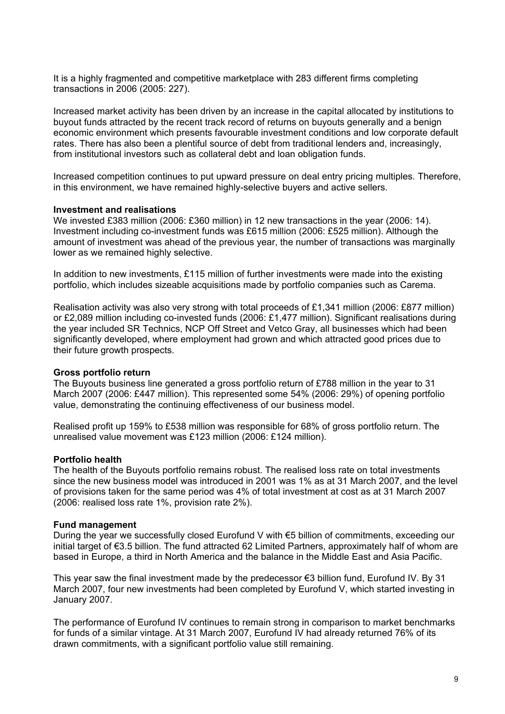It is a highly fragmented and competitive marketplace with 283 different firms completing transactions in 2006 (2005: 227).

Increased market activity has been driven by an increase in the capital allocated by institutions to buyout funds attracted by the recent track record of returns on buyouts generally and a benign economic environment which presents favourable investment conditions and low corporate default rates. There has also been a plentiful source of debt from traditional lenders and, increasingly, from institutional investors such as collateral debt and loan obligation funds.

Increased competition continues to put upward pressure on deal entry pricing multiples. Therefore, in this environment, we have remained highly-selective buyers and active sellers.

#### **Investment and realisations**

We invested £383 million (2006: £360 million) in 12 new transactions in the year (2006: 14). Investment including co-investment funds was £615 million (2006: £525 million). Although the amount of investment was ahead of the previous year, the number of transactions was marginally lower as we remained highly selective.

In addition to new investments, £115 million of further investments were made into the existing portfolio, which includes sizeable acquisitions made by portfolio companies such as Carema.

Realisation activity was also very strong with total proceeds of £1,341 million (2006: £877 million) or £2,089 million including co-invested funds (2006: £1,477 million). Significant realisations during the year included SR Technics, NCP Off Street and Vetco Gray, all businesses which had been significantly developed, where employment had grown and which attracted good prices due to their future growth prospects.

#### **Gross portfolio return**

The Buyouts business line generated a gross portfolio return of £788 million in the year to 31 March 2007 (2006: £447 million). This represented some 54% (2006: 29%) of opening portfolio value, demonstrating the continuing effectiveness of our business model.

Realised profit up 159% to £538 million was responsible for 68% of gross portfolio return. The unrealised value movement was £123 million (2006: £124 million).

#### **Portfolio health**

The health of the Buyouts portfolio remains robust. The realised loss rate on total investments since the new business model was introduced in 2001 was 1% as at 31 March 2007, and the level of provisions taken for the same period was 4% of total investment at cost as at 31 March 2007 (2006: realised loss rate 1%, provision rate 2%).

#### **Fund management**

During the year we successfully closed Eurofund V with €5 billion of commitments, exceeding our initial target of €3.5 billion. The fund attracted 62 Limited Partners, approximately half of whom are based in Europe, a third in North America and the balance in the Middle East and Asia Pacific.

This year saw the final investment made by the predecessor  $\epsilon$ 3 billion fund, Eurofund IV. By 31 March 2007, four new investments had been completed by Eurofund V, which started investing in January 2007.

The performance of Eurofund IV continues to remain strong in comparison to market benchmarks for funds of a similar vintage. At 31 March 2007, Eurofund IV had already returned 76% of its drawn commitments, with a significant portfolio value still remaining.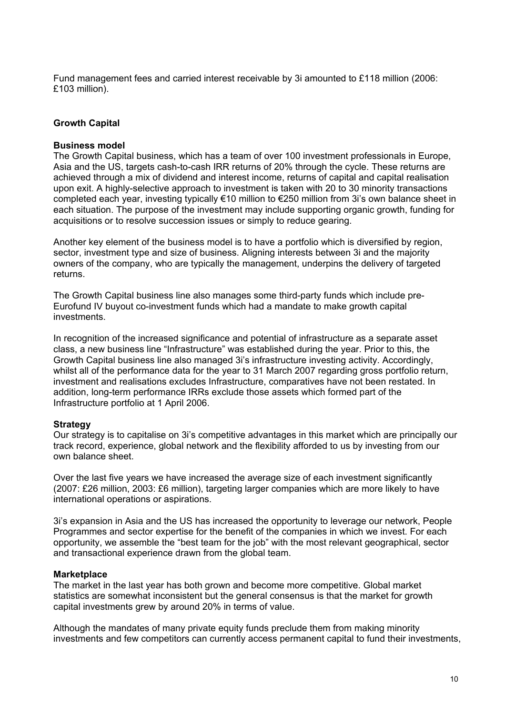Fund management fees and carried interest receivable by 3i amounted to £118 million (2006: £103 million).

### **Growth Capital**

#### **Business model**

The Growth Capital business, which has a team of over 100 investment professionals in Europe, Asia and the US, targets cash-to-cash IRR returns of 20% through the cycle. These returns are achieved through a mix of dividend and interest income, returns of capital and capital realisation upon exit. A highly-selective approach to investment is taken with 20 to 30 minority transactions completed each year, investing typically €10 million to €250 million from 3i's own balance sheet in each situation. The purpose of the investment may include supporting organic growth, funding for acquisitions or to resolve succession issues or simply to reduce gearing.

Another key element of the business model is to have a portfolio which is diversified by region, sector, investment type and size of business. Aligning interests between 3i and the majority owners of the company, who are typically the management, underpins the delivery of targeted returns.

The Growth Capital business line also manages some third-party funds which include pre-Eurofund IV buyout co-investment funds which had a mandate to make growth capital investments.

In recognition of the increased significance and potential of infrastructure as a separate asset class, a new business line "Infrastructure" was established during the year. Prior to this, the Growth Capital business line also managed 3i's infrastructure investing activity. Accordingly, whilst all of the performance data for the year to 31 March 2007 regarding gross portfolio return, investment and realisations excludes Infrastructure, comparatives have not been restated. In addition, long-term performance IRRs exclude those assets which formed part of the Infrastructure portfolio at 1 April 2006.

#### **Strategy**

Our strategy is to capitalise on 3i's competitive advantages in this market which are principally our track record, experience, global network and the flexibility afforded to us by investing from our own balance sheet.

Over the last five years we have increased the average size of each investment significantly (2007: £26 million, 2003: £6 million), targeting larger companies which are more likely to have international operations or aspirations.

3i's expansion in Asia and the US has increased the opportunity to leverage our network, People Programmes and sector expertise for the benefit of the companies in which we invest. For each opportunity, we assemble the "best team for the job" with the most relevant geographical, sector and transactional experience drawn from the global team.

#### **Marketplace**

The market in the last year has both grown and become more competitive. Global market statistics are somewhat inconsistent but the general consensus is that the market for growth capital investments grew by around 20% in terms of value.

Although the mandates of many private equity funds preclude them from making minority investments and few competitors can currently access permanent capital to fund their investments,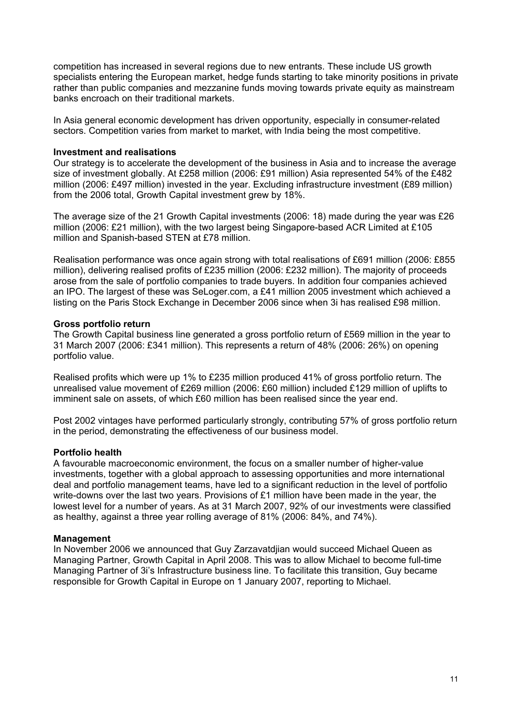competition has increased in several regions due to new entrants. These include US growth specialists entering the European market, hedge funds starting to take minority positions in private rather than public companies and mezzanine funds moving towards private equity as mainstream banks encroach on their traditional markets.

In Asia general economic development has driven opportunity, especially in consumer-related sectors. Competition varies from market to market, with India being the most competitive.

### **Investment and realisations**

Our strategy is to accelerate the development of the business in Asia and to increase the average size of investment globally. At £258 million (2006: £91 million) Asia represented 54% of the £482 million (2006: £497 million) invested in the year. Excluding infrastructure investment (£89 million) from the 2006 total, Growth Capital investment grew by 18%.

The average size of the 21 Growth Capital investments (2006: 18) made during the year was £26 million (2006: £21 million), with the two largest being Singapore-based ACR Limited at £105 million and Spanish-based STEN at £78 million.

Realisation performance was once again strong with total realisations of £691 million (2006: £855 million), delivering realised profits of £235 million (2006: £232 million). The majority of proceeds arose from the sale of portfolio companies to trade buyers. In addition four companies achieved an IPO. The largest of these was SeLoger.com, a £41 million 2005 investment which achieved a listing on the Paris Stock Exchange in December 2006 since when 3i has realised £98 million.

### **Gross portfolio return**

The Growth Capital business line generated a gross portfolio return of £569 million in the year to 31 March 2007 (2006: £341 million). This represents a return of 48% (2006: 26%) on opening portfolio value.

Realised profits which were up 1% to £235 million produced 41% of gross portfolio return. The unrealised value movement of £269 million (2006: £60 million) included £129 million of uplifts to imminent sale on assets, of which £60 million has been realised since the year end.

Post 2002 vintages have performed particularly strongly, contributing 57% of gross portfolio return in the period, demonstrating the effectiveness of our business model.

# **Portfolio health**

A favourable macroeconomic environment, the focus on a smaller number of higher-value investments, together with a global approach to assessing opportunities and more international deal and portfolio management teams, have led to a significant reduction in the level of portfolio write-downs over the last two years. Provisions of £1 million have been made in the year, the lowest level for a number of years. As at 31 March 2007, 92% of our investments were classified as healthy, against a three year rolling average of 81% (2006: 84%, and 74%).

#### **Management**

In November 2006 we announced that Guy Zarzavatdjian would succeed Michael Queen as Managing Partner, Growth Capital in April 2008. This was to allow Michael to become full-time Managing Partner of 3i's Infrastructure business line. To facilitate this transition, Guy became responsible for Growth Capital in Europe on 1 January 2007, reporting to Michael.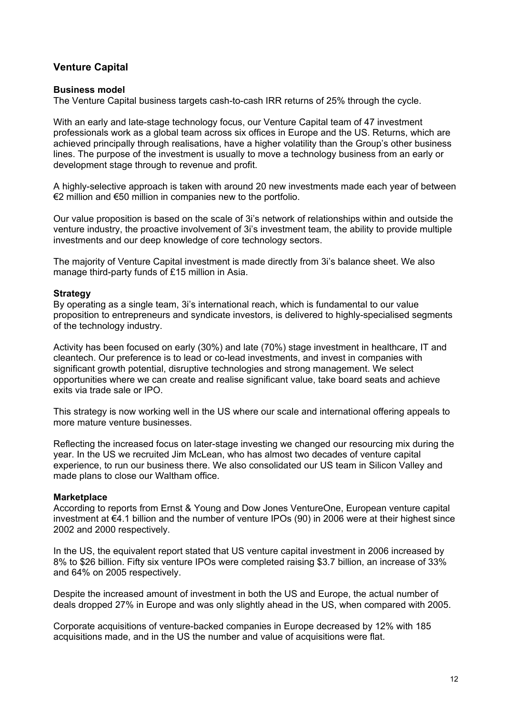# **Venture Capital**

### **Business model**

The Venture Capital business targets cash-to-cash IRR returns of 25% through the cycle.

With an early and late-stage technology focus, our Venture Capital team of 47 investment professionals work as a global team across six offices in Europe and the US. Returns, which are achieved principally through realisations, have a higher volatility than the Group's other business lines. The purpose of the investment is usually to move a technology business from an early or development stage through to revenue and profit.

A highly-selective approach is taken with around 20 new investments made each year of between €2 million and €50 million in companies new to the portfolio.

Our value proposition is based on the scale of 3i's network of relationships within and outside the venture industry, the proactive involvement of 3i's investment team, the ability to provide multiple investments and our deep knowledge of core technology sectors.

The majority of Venture Capital investment is made directly from 3i's balance sheet. We also manage third-party funds of £15 million in Asia.

### **Strategy**

By operating as a single team, 3i's international reach, which is fundamental to our value proposition to entrepreneurs and syndicate investors, is delivered to highly-specialised segments of the technology industry.

Activity has been focused on early (30%) and late (70%) stage investment in healthcare, IT and cleantech. Our preference is to lead or co-lead investments, and invest in companies with significant growth potential, disruptive technologies and strong management. We select opportunities where we can create and realise significant value, take board seats and achieve exits via trade sale or IPO.

This strategy is now working well in the US where our scale and international offering appeals to more mature venture businesses.

Reflecting the increased focus on later-stage investing we changed our resourcing mix during the year. In the US we recruited Jim McLean, who has almost two decades of venture capital experience, to run our business there. We also consolidated our US team in Silicon Valley and made plans to close our Waltham office.

# **Marketplace**

According to reports from Ernst & Young and Dow Jones VentureOne, European venture capital investment at €4.1 billion and the number of venture IPOs (90) in 2006 were at their highest since 2002 and 2000 respectively.

In the US, the equivalent report stated that US venture capital investment in 2006 increased by 8% to \$26 billion. Fifty six venture IPOs were completed raising \$3.7 billion, an increase of 33% and 64% on 2005 respectively.

Despite the increased amount of investment in both the US and Europe, the actual number of deals dropped 27% in Europe and was only slightly ahead in the US, when compared with 2005.

Corporate acquisitions of venture-backed companies in Europe decreased by 12% with 185 acquisitions made, and in the US the number and value of acquisitions were flat.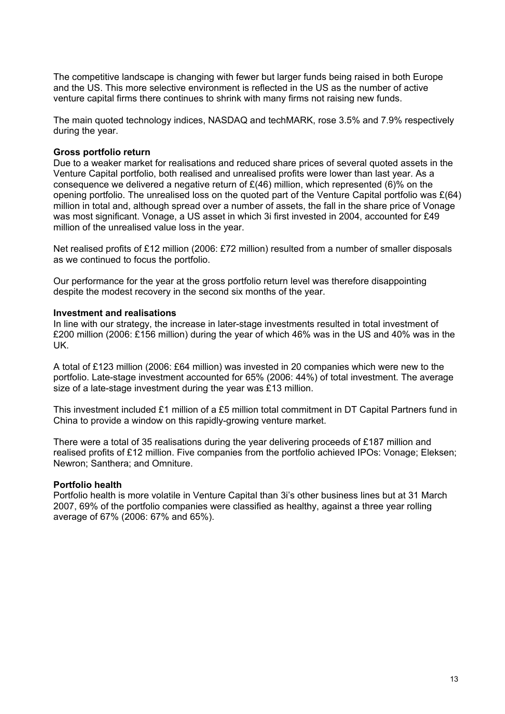The competitive landscape is changing with fewer but larger funds being raised in both Europe and the US. This more selective environment is reflected in the US as the number of active venture capital firms there continues to shrink with many firms not raising new funds.

The main quoted technology indices, NASDAQ and techMARK, rose 3.5% and 7.9% respectively during the year.

#### **Gross portfolio return**

Due to a weaker market for realisations and reduced share prices of several quoted assets in the Venture Capital portfolio, both realised and unrealised profits were lower than last year. As a consequence we delivered a negative return of  $E(46)$  million, which represented (6)% on the opening portfolio. The unrealised loss on the quoted part of the Venture Capital portfolio was  $E(64)$ million in total and, although spread over a number of assets, the fall in the share price of Vonage was most significant. Vonage, a US asset in which 3i first invested in 2004, accounted for £49 million of the unrealised value loss in the year.

Net realised profits of £12 million (2006: £72 million) resulted from a number of smaller disposals as we continued to focus the portfolio.

Our performance for the year at the gross portfolio return level was therefore disappointing despite the modest recovery in the second six months of the year.

### **Investment and realisations**

In line with our strategy, the increase in later-stage investments resulted in total investment of £200 million (2006: £156 million) during the year of which 46% was in the US and 40% was in the UK.

A total of £123 million (2006: £64 million) was invested in 20 companies which were new to the portfolio. Late-stage investment accounted for 65% (2006: 44%) of total investment. The average size of a late-stage investment during the year was £13 million.

This investment included £1 million of a £5 million total commitment in DT Capital Partners fund in China to provide a window on this rapidly-growing venture market.

There were a total of 35 realisations during the year delivering proceeds of £187 million and realised profits of £12 million. Five companies from the portfolio achieved IPOs: Vonage; Eleksen; Newron; Santhera; and Omniture.

#### **Portfolio health**

Portfolio health is more volatile in Venture Capital than 3i's other business lines but at 31 March 2007, 69% of the portfolio companies were classified as healthy, against a three year rolling average of 67% (2006: 67% and 65%).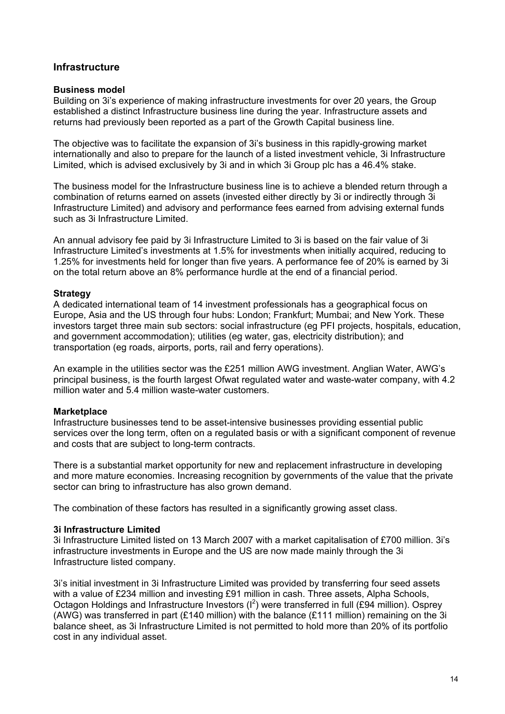# **Infrastructure**

### **Business model**

Building on 3i's experience of making infrastructure investments for over 20 years, the Group established a distinct Infrastructure business line during the year. Infrastructure assets and returns had previously been reported as a part of the Growth Capital business line.

The objective was to facilitate the expansion of 3i's business in this rapidly-growing market internationally and also to prepare for the launch of a listed investment vehicle, 3i Infrastructure Limited, which is advised exclusively by 3i and in which 3i Group plc has a 46.4% stake.

The business model for the Infrastructure business line is to achieve a blended return through a combination of returns earned on assets (invested either directly by 3i or indirectly through 3i Infrastructure Limited) and advisory and performance fees earned from advising external funds such as 3i Infrastructure Limited.

An annual advisory fee paid by 3i Infrastructure Limited to 3i is based on the fair value of 3i Infrastructure Limited's investments at 1.5% for investments when initially acquired, reducing to 1.25% for investments held for longer than five years. A performance fee of 20% is earned by 3i on the total return above an 8% performance hurdle at the end of a financial period.

### **Strategy**

A dedicated international team of 14 investment professionals has a geographical focus on Europe, Asia and the US through four hubs: London; Frankfurt; Mumbai; and New York. These investors target three main sub sectors: social infrastructure (eg PFI projects, hospitals, education, and government accommodation); utilities (eg water, gas, electricity distribution); and transportation (eg roads, airports, ports, rail and ferry operations).

An example in the utilities sector was the £251 million AWG investment. Anglian Water, AWG's principal business, is the fourth largest Ofwat regulated water and waste-water company, with 4.2 million water and 5.4 million waste-water customers.

# **Marketplace**

Infrastructure businesses tend to be asset-intensive businesses providing essential public services over the long term, often on a regulated basis or with a significant component of revenue and costs that are subject to long-term contracts.

There is a substantial market opportunity for new and replacement infrastructure in developing and more mature economies. Increasing recognition by governments of the value that the private sector can bring to infrastructure has also grown demand.

The combination of these factors has resulted in a significantly growing asset class.

# **3i Infrastructure Limited**

3i Infrastructure Limited listed on 13 March 2007 with a market capitalisation of £700 million. 3i's infrastructure investments in Europe and the US are now made mainly through the 3i Infrastructure listed company.

3i's initial investment in 3i Infrastructure Limited was provided by transferring four seed assets with a value of £234 million and investing £91 million in cash. Three assets, Alpha Schools, Octagon Holdings and Infrastructure Investors  $(I^2)$  were transferred in full (£94 million). Osprey (AWG) was transferred in part (£140 million) with the balance (£111 million) remaining on the 3i balance sheet, as 3i Infrastructure Limited is not permitted to hold more than 20% of its portfolio cost in any individual asset.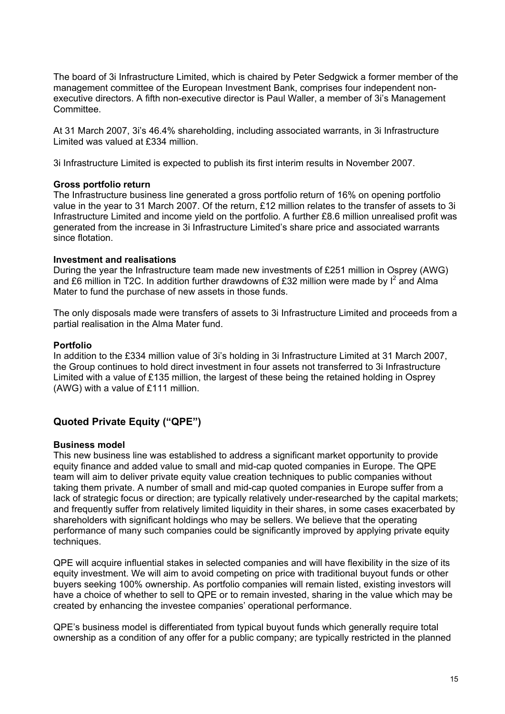The board of 3i Infrastructure Limited, which is chaired by Peter Sedgwick a former member of the management committee of the European Investment Bank, comprises four independent nonexecutive directors. A fifth non-executive director is Paul Waller, a member of 3i's Management **Committee.** 

At 31 March 2007, 3i's 46.4% shareholding, including associated warrants, in 3i Infrastructure Limited was valued at £334 million.

3i Infrastructure Limited is expected to publish its first interim results in November 2007.

### **Gross portfolio return**

The Infrastructure business line generated a gross portfolio return of 16% on opening portfolio value in the year to 31 March 2007. Of the return, £12 million relates to the transfer of assets to 3i Infrastructure Limited and income yield on the portfolio. A further £8.6 million unrealised profit was generated from the increase in 3i Infrastructure Limited's share price and associated warrants since flotation.

### **Investment and realisations**

During the year the Infrastructure team made new investments of £251 million in Osprey (AWG) and £6 million in T2C. In addition further drawdowns of £32 million were made by  $I^2$  and Alma Mater to fund the purchase of new assets in those funds.

The only disposals made were transfers of assets to 3i Infrastructure Limited and proceeds from a partial realisation in the Alma Mater fund.

### **Portfolio**

In addition to the £334 million value of 3i's holding in 3i Infrastructure Limited at 31 March 2007, the Group continues to hold direct investment in four assets not transferred to 3i Infrastructure Limited with a value of £135 million, the largest of these being the retained holding in Osprey (AWG) with a value of £111 million.

# **Quoted Private Equity ("QPE")**

#### **Business model**

This new business line was established to address a significant market opportunity to provide equity finance and added value to small and mid-cap quoted companies in Europe. The QPE team will aim to deliver private equity value creation techniques to public companies without taking them private. A number of small and mid-cap quoted companies in Europe suffer from a lack of strategic focus or direction; are typically relatively under-researched by the capital markets; and frequently suffer from relatively limited liquidity in their shares, in some cases exacerbated by shareholders with significant holdings who may be sellers. We believe that the operating performance of many such companies could be significantly improved by applying private equity techniques.

QPE will acquire influential stakes in selected companies and will have flexibility in the size of its equity investment. We will aim to avoid competing on price with traditional buyout funds or other buyers seeking 100% ownership. As portfolio companies will remain listed, existing investors will have a choice of whether to sell to QPE or to remain invested, sharing in the value which may be created by enhancing the investee companies' operational performance.

QPE's business model is differentiated from typical buyout funds which generally require total ownership as a condition of any offer for a public company; are typically restricted in the planned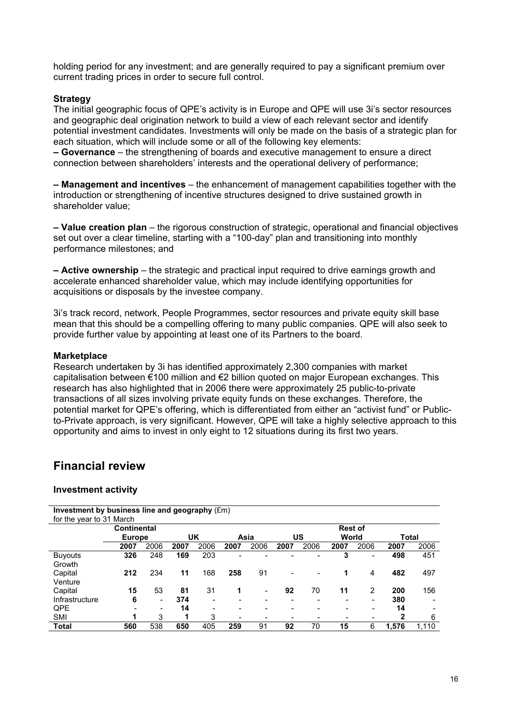holding period for any investment; and are generally required to pay a significant premium over current trading prices in order to secure full control.

# **Strategy**

The initial geographic focus of QPE's activity is in Europe and QPE will use 3i's sector resources and geographic deal origination network to build a view of each relevant sector and identify potential investment candidates. Investments will only be made on the basis of a strategic plan for each situation, which will include some or all of the following key elements:

**– Governance** – the strengthening of boards and executive management to ensure a direct connection between shareholders' interests and the operational delivery of performance;

**– Management and incentives** – the enhancement of management capabilities together with the introduction or strengthening of incentive structures designed to drive sustained growth in shareholder value;

**– Value creation plan** – the rigorous construction of strategic, operational and financial objectives set out over a clear timeline, starting with a "100-day" plan and transitioning into monthly performance milestones; and

**– Active ownership** – the strategic and practical input required to drive earnings growth and accelerate enhanced shareholder value, which may include identifying opportunities for acquisitions or disposals by the investee company.

3i's track record, network, People Programmes, sector resources and private equity skill base mean that this should be a compelling offering to many public companies. QPE will also seek to provide further value by appointing at least one of its Partners to the board.

#### **Marketplace**

Research undertaken by 3i has identified approximately 2,300 companies with market capitalisation between €100 million and €2 billion quoted on major European exchanges. This research has also highlighted that in 2006 there were approximately 25 public-to-private transactions of all sizes involving private equity funds on these exchanges. Therefore, the potential market for QPE's offering, which is differentiated from either an "activist fund" or Publicto-Private approach, is very significant. However, QPE will take a highly selective approach to this opportunity and aims to invest in only eight to 12 situations during its first two years.

# **Financial review**

#### **Investment activity**

| Investment by business line and geography (£m) |                    |                          |      |      |                          |                          |                          |      |                |                          |              |                          |
|------------------------------------------------|--------------------|--------------------------|------|------|--------------------------|--------------------------|--------------------------|------|----------------|--------------------------|--------------|--------------------------|
| for the year to 31 March                       |                    |                          |      |      |                          |                          |                          |      |                |                          |              |                          |
|                                                | <b>Continental</b> |                          |      |      |                          |                          |                          |      | <b>Rest of</b> |                          |              |                          |
|                                                | <b>Europe</b>      |                          |      | UK   |                          | Asia                     |                          | US   | World          |                          | <b>Total</b> |                          |
|                                                | 2007               | 2006                     | 2007 | 2006 | 2007                     | 2006                     | 2007                     | 2006 | 2007           | 2006                     | 2007         | 2006                     |
| <b>Buyouts</b>                                 | 326                | 248                      | 169  | 203  | -                        |                          |                          | -    | 3              | $\overline{\phantom{a}}$ | 498          | 451                      |
| Growth                                         |                    |                          |      |      |                          |                          |                          |      |                |                          |              |                          |
| Capital                                        | 212                | 234                      | 11   | 168  | 258                      | 91                       | $\overline{\phantom{a}}$ | -    | 1              | 4                        | 482          | 497                      |
| Venture                                        |                    |                          |      |      |                          |                          |                          |      |                |                          |              |                          |
| Capital                                        | 15                 | 53                       | 81   | 31   | 1                        | $\overline{\phantom{a}}$ | 92                       | 70   | 11             | $\overline{2}$           | 200          | 156                      |
| Infrastructure                                 | 6                  | $\overline{\phantom{a}}$ | 374  | -    | $\overline{\phantom{a}}$ | $\overline{\phantom{a}}$ | $\overline{\phantom{a}}$ | -    |                | $\overline{\phantom{0}}$ | 380          | $\overline{\phantom{0}}$ |
| <b>QPE</b>                                     |                    | $\overline{\phantom{a}}$ | 14   |      |                          |                          |                          |      |                |                          | 14           |                          |
| <b>SMI</b>                                     | 1                  | 3                        | 1    | 3    | ۰                        | $\overline{\phantom{a}}$ | $\overline{\phantom{a}}$ |      |                |                          | 2            | 6                        |
| <b>Total</b>                                   | 560                | 538                      | 650  | 405  | 259                      | 91                       | 92                       | 70   | 15             | 6                        | 1,576        | 1.110                    |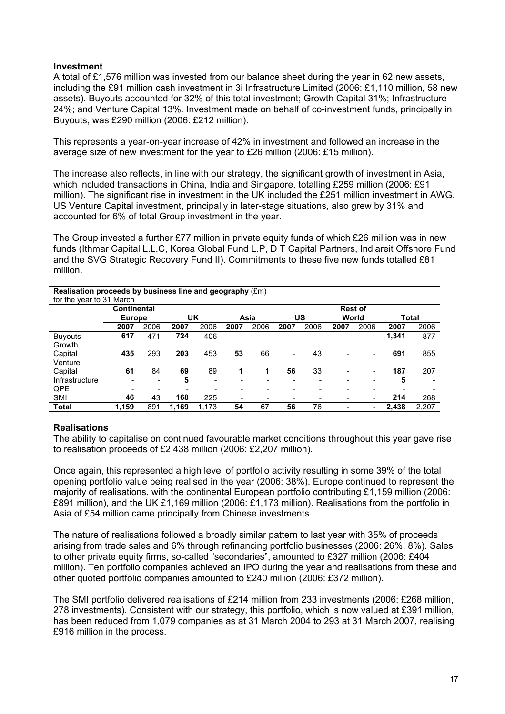# **Investment**

A total of £1,576 million was invested from our balance sheet during the year in 62 new assets, including the £91 million cash investment in 3i Infrastructure Limited (2006: £1,110 million, 58 new assets). Buyouts accounted for 32% of this total investment; Growth Capital 31%; Infrastructure 24%; and Venture Capital 13%. Investment made on behalf of co-investment funds, principally in Buyouts, was £290 million (2006: £212 million).

This represents a year-on-year increase of 42% in investment and followed an increase in the average size of new investment for the year to £26 million (2006: £15 million).

The increase also reflects, in line with our strategy, the significant growth of investment in Asia, which included transactions in China, India and Singapore, totalling £259 million (2006: £91 million). The significant rise in investment in the UK included the £251 million investment in AWG. US Venture Capital investment, principally in later-stage situations, also grew by 31% and accounted for 6% of total Group investment in the year.

The Group invested a further £77 million in private equity funds of which £26 million was in new funds (Ithmar Capital L.L.C, Korea Global Fund L.P, D T Capital Partners, Indiareit Offshore Fund and the SVG Strategic Recovery Fund II). Commitments to these five new funds totalled £81 million.

#### **Realisation proceeds by business line and geography** (£m) for the year to 31 March **Continental Europe UK Asia US Rest of World Total 2007** 2006 **2007** 2006 **2007** 2006 **2007** 2006 **2007** 2006 **2007** 2006 Buyouts **617** 471 **724** 406 - - - - - - **1,341** 877 **Growth** Capital **435** 293 **203** 453 **53** 66 - 43 - - **691** 855 Venture Capital **61** 84 **69** 89 **1** 1 **56** 33 - - **187** 207 Infrastructure - - **5** - - - - - - - **5** - QPE - - - - - - - - - - - - - - - - -SMI **46** 43 **168** 225 - - - - - - **214** 268 **Total 1,159** 891 **1,169** 1,173 **54** 67 **56** 76 - - **2,438** 2,207

# **Realisations**

The ability to capitalise on continued favourable market conditions throughout this year gave rise to realisation proceeds of £2,438 million (2006: £2,207 million).

Once again, this represented a high level of portfolio activity resulting in some 39% of the total opening portfolio value being realised in the year (2006: 38%). Europe continued to represent the majority of realisations, with the continental European portfolio contributing £1,159 million (2006: £891 million), and the UK £1,169 million (2006: £1,173 million). Realisations from the portfolio in Asia of £54 million came principally from Chinese investments.

The nature of realisations followed a broadly similar pattern to last year with 35% of proceeds arising from trade sales and 6% through refinancing portfolio businesses (2006: 26%, 8%). Sales to other private equity firms, so-called "secondaries", amounted to £327 million (2006: £404 million). Ten portfolio companies achieved an IPO during the year and realisations from these and other quoted portfolio companies amounted to £240 million (2006: £372 million).

The SMI portfolio delivered realisations of £214 million from 233 investments (2006: £268 million, 278 investments). Consistent with our strategy, this portfolio, which is now valued at £391 million, has been reduced from 1,079 companies as at 31 March 2004 to 293 at 31 March 2007, realising £916 million in the process.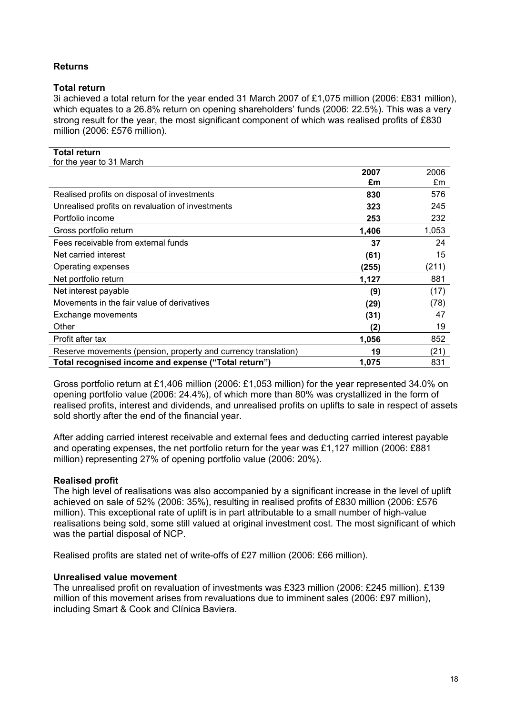# **Returns**

# **Total return**

3i achieved a total return for the year ended 31 March 2007 of £1,075 million (2006: £831 million), which equates to a 26.8% return on opening shareholders' funds (2006: 22.5%). This was a very strong result for the year, the most significant component of which was realised profits of £830 million (2006: £576 million).

| <b>Total return</b>                                            |       |       |
|----------------------------------------------------------------|-------|-------|
| for the year to 31 March                                       |       |       |
|                                                                | 2007  | 2006  |
|                                                                | £m    | £m    |
| Realised profits on disposal of investments                    | 830   | 576   |
| Unrealised profits on revaluation of investments               | 323   | 245   |
| Portfolio income                                               | 253   | 232   |
| Gross portfolio return                                         | 1,406 | 1,053 |
| Fees receivable from external funds                            | 37    | 24    |
| Net carried interest                                           | (61)  | 15    |
| Operating expenses                                             | (255) | (211) |
| Net portfolio return                                           | 1,127 | 881   |
| Net interest payable                                           | (9)   | (17)  |
| Movements in the fair value of derivatives                     | (29)  | (78)  |
| Exchange movements                                             | (31)  | 47    |
| Other                                                          | (2)   | 19    |
| Profit after tax                                               | 1,056 | 852   |
| Reserve movements (pension, property and currency translation) | 19    | (21)  |
| Total recognised income and expense ("Total return")           | 1,075 | 831   |

Gross portfolio return at £1,406 million (2006: £1,053 million) for the year represented 34.0% on opening portfolio value (2006: 24.4%), of which more than 80% was crystallized in the form of realised profits, interest and dividends, and unrealised profits on uplifts to sale in respect of assets sold shortly after the end of the financial year.

After adding carried interest receivable and external fees and deducting carried interest payable and operating expenses, the net portfolio return for the year was £1,127 million (2006: £881 million) representing 27% of opening portfolio value (2006: 20%).

# **Realised profit**

The high level of realisations was also accompanied by a significant increase in the level of uplift achieved on sale of 52% (2006: 35%), resulting in realised profits of £830 million (2006: £576 million). This exceptional rate of uplift is in part attributable to a small number of high-value realisations being sold, some still valued at original investment cost. The most significant of which was the partial disposal of NCP.

Realised profits are stated net of write-offs of £27 million (2006: £66 million).

# **Unrealised value movement**

The unrealised profit on revaluation of investments was £323 million (2006: £245 million). £139 million of this movement arises from revaluations due to imminent sales (2006: £97 million), including Smart & Cook and Clínica Baviera.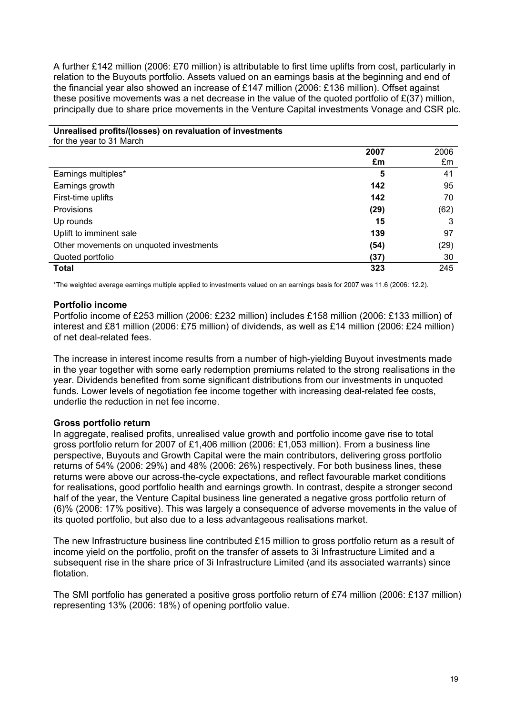A further £142 million (2006: £70 million) is attributable to first time uplifts from cost, particularly in relation to the Buyouts portfolio. Assets valued on an earnings basis at the beginning and end of the financial year also showed an increase of £147 million (2006: £136 million). Offset against these positive movements was a net decrease in the value of the quoted portfolio of  $E(37)$  million, principally due to share price movements in the Venture Capital investments Vonage and CSR plc.

# **Unrealised profits/(losses) on revaluation of investments**

for the year to 31 March

|                                         | 2007 | 2006 |
|-----------------------------------------|------|------|
|                                         | £m   | £m   |
| Earnings multiples*                     | 5    | 41   |
| Earnings growth                         | 142  | 95   |
| First-time uplifts                      | 142  | 70   |
| Provisions                              | (29) | (62) |
| Up rounds                               | 15   | 3    |
| Uplift to imminent sale                 | 139  | 97   |
| Other movements on unquoted investments | (54) | (29) |
| Quoted portfolio                        | (37) | 30   |
| <b>Total</b>                            | 323  | 245  |

\*The weighted average earnings multiple applied to investments valued on an earnings basis for 2007 was 11.6 (2006: 12.2).

### **Portfolio income**

Portfolio income of £253 million (2006: £232 million) includes £158 million (2006: £133 million) of interest and £81 million (2006: £75 million) of dividends, as well as £14 million (2006: £24 million) of net deal-related fees.

The increase in interest income results from a number of high-yielding Buyout investments made in the year together with some early redemption premiums related to the strong realisations in the year. Dividends benefited from some significant distributions from our investments in unquoted funds. Lower levels of negotiation fee income together with increasing deal-related fee costs, underlie the reduction in net fee income.

# **Gross portfolio return**

In aggregate, realised profits, unrealised value growth and portfolio income gave rise to total gross portfolio return for 2007 of £1,406 million (2006: £1,053 million). From a business line perspective, Buyouts and Growth Capital were the main contributors, delivering gross portfolio returns of 54% (2006: 29%) and 48% (2006: 26%) respectively. For both business lines, these returns were above our across-the-cycle expectations, and reflect favourable market conditions for realisations, good portfolio health and earnings growth. In contrast, despite a stronger second half of the year, the Venture Capital business line generated a negative gross portfolio return of (6)% (2006: 17% positive). This was largely a consequence of adverse movements in the value of its quoted portfolio, but also due to a less advantageous realisations market.

The new Infrastructure business line contributed £15 million to gross portfolio return as a result of income yield on the portfolio, profit on the transfer of assets to 3i Infrastructure Limited and a subsequent rise in the share price of 3i Infrastructure Limited (and its associated warrants) since flotation.

The SMI portfolio has generated a positive gross portfolio return of £74 million (2006: £137 million) representing 13% (2006: 18%) of opening portfolio value.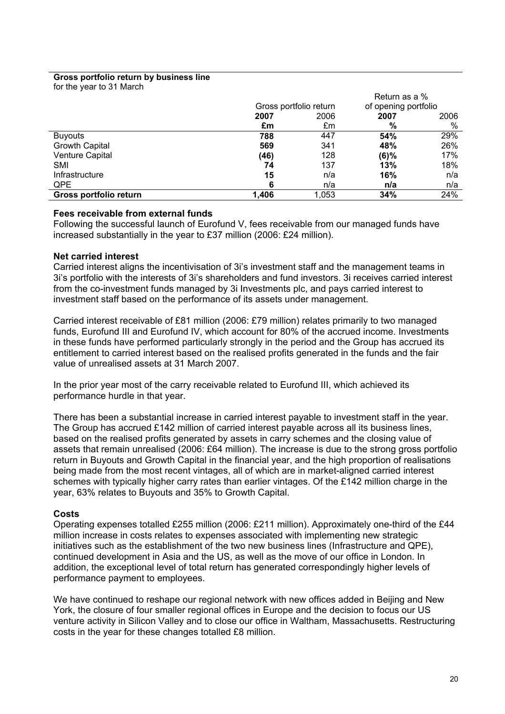#### **Gross portfolio return by business line**

for the year to 31 March

|                        |       |                        | Return as a %        |      |
|------------------------|-------|------------------------|----------------------|------|
|                        |       | Gross portfolio return | of opening portfolio |      |
|                        | 2007  | 2006                   | 2007                 | 2006 |
|                        | £m    | £m                     | %                    | %    |
| <b>Buyouts</b>         | 788   | 447                    | 54%                  | 29%  |
| <b>Growth Capital</b>  | 569   | 341                    | 48%                  | 26%  |
| Venture Capital        | (46)  | 128                    | $(6)\%$              | 17%  |
| SMI                    | 74    | 137                    | 13%                  | 18%  |
| Infrastructure         | 15    | n/a                    | 16%                  | n/a  |
| QPE                    | 6     | n/a                    | n/a                  | n/a  |
| Gross portfolio return | 1,406 | 1,053                  | 34%                  | 24%  |

#### **Fees receivable from external funds**

Following the successful launch of Eurofund V, fees receivable from our managed funds have increased substantially in the year to £37 million (2006: £24 million).

### **Net carried interest**

Carried interest aligns the incentivisation of 3i's investment staff and the management teams in 3i's portfolio with the interests of 3i's shareholders and fund investors. 3i receives carried interest from the co-investment funds managed by 3i Investments plc, and pays carried interest to investment staff based on the performance of its assets under management.

Carried interest receivable of £81 million (2006: £79 million) relates primarily to two managed funds, Eurofund III and Eurofund IV, which account for 80% of the accrued income. Investments in these funds have performed particularly strongly in the period and the Group has accrued its entitlement to carried interest based on the realised profits generated in the funds and the fair value of unrealised assets at 31 March 2007.

In the prior year most of the carry receivable related to Eurofund III, which achieved its performance hurdle in that year.

There has been a substantial increase in carried interest payable to investment staff in the year. The Group has accrued £142 million of carried interest payable across all its business lines, based on the realised profits generated by assets in carry schemes and the closing value of assets that remain unrealised (2006: £64 million). The increase is due to the strong gross portfolio return in Buyouts and Growth Capital in the financial year, and the high proportion of realisations being made from the most recent vintages, all of which are in market-aligned carried interest schemes with typically higher carry rates than earlier vintages. Of the £142 million charge in the year, 63% relates to Buyouts and 35% to Growth Capital.

#### **Costs**

Operating expenses totalled £255 million (2006: £211 million). Approximately one-third of the £44 million increase in costs relates to expenses associated with implementing new strategic initiatives such as the establishment of the two new business lines (Infrastructure and QPE), continued development in Asia and the US, as well as the move of our office in London. In addition, the exceptional level of total return has generated correspondingly higher levels of performance payment to employees.

We have continued to reshape our regional network with new offices added in Beijing and New York, the closure of four smaller regional offices in Europe and the decision to focus our US venture activity in Silicon Valley and to close our office in Waltham, Massachusetts. Restructuring costs in the year for these changes totalled £8 million.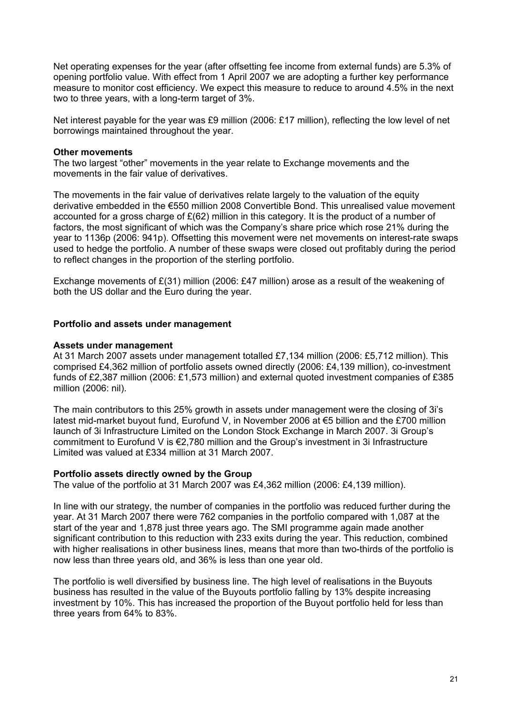Net operating expenses for the year (after offsetting fee income from external funds) are 5.3% of opening portfolio value. With effect from 1 April 2007 we are adopting a further key performance measure to monitor cost efficiency. We expect this measure to reduce to around 4.5% in the next two to three years, with a long-term target of 3%.

Net interest payable for the year was £9 million (2006: £17 million), reflecting the low level of net borrowings maintained throughout the year.

### **Other movements**

The two largest "other" movements in the year relate to Exchange movements and the movements in the fair value of derivatives.

The movements in the fair value of derivatives relate largely to the valuation of the equity derivative embedded in the €550 million 2008 Convertible Bond. This unrealised value movement accounted for a gross charge of £(62) million in this category. It is the product of a number of factors, the most significant of which was the Company's share price which rose 21% during the year to 1136p (2006: 941p). Offsetting this movement were net movements on interest-rate swaps used to hedge the portfolio. A number of these swaps were closed out profitably during the period to reflect changes in the proportion of the sterling portfolio.

Exchange movements of  $E(31)$  million (2006: £47 million) arose as a result of the weakening of both the US dollar and the Euro during the year.

### **Portfolio and assets under management**

### **Assets under management**

At 31 March 2007 assets under management totalled £7,134 million (2006: £5,712 million). This comprised £4,362 million of portfolio assets owned directly (2006: £4,139 million), co-investment funds of £2,387 million (2006: £1,573 million) and external quoted investment companies of £385 million (2006: nil).

The main contributors to this 25% growth in assets under management were the closing of 3i's latest mid-market buyout fund, Eurofund V, in November 2006 at €5 billion and the £700 million launch of 3i Infrastructure Limited on the London Stock Exchange in March 2007. 3i Group's commitment to Eurofund V is €2,780 million and the Group's investment in 3i Infrastructure Limited was valued at £334 million at 31 March 2007.

#### **Portfolio assets directly owned by the Group**

The value of the portfolio at 31 March 2007 was £4,362 million (2006: £4,139 million).

In line with our strategy, the number of companies in the portfolio was reduced further during the year. At 31 March 2007 there were 762 companies in the portfolio compared with 1,087 at the start of the year and 1,878 just three years ago. The SMI programme again made another significant contribution to this reduction with 233 exits during the year. This reduction, combined with higher realisations in other business lines, means that more than two-thirds of the portfolio is now less than three years old, and 36% is less than one year old.

The portfolio is well diversified by business line. The high level of realisations in the Buyouts business has resulted in the value of the Buyouts portfolio falling by 13% despite increasing investment by 10%. This has increased the proportion of the Buyout portfolio held for less than three years from 64% to 83%.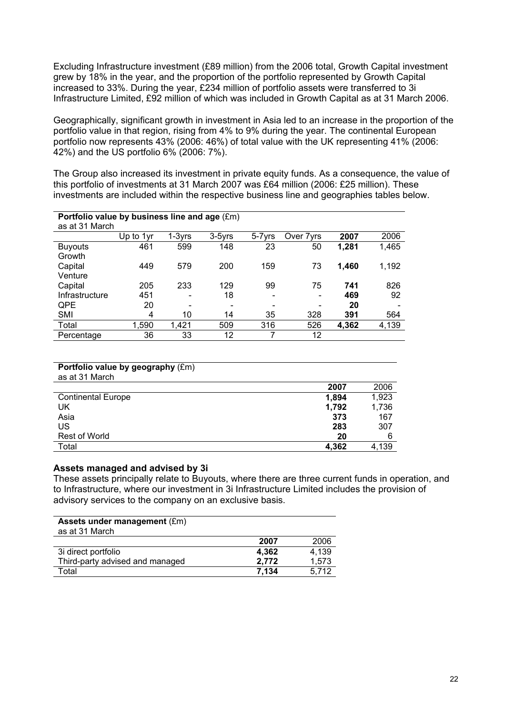Excluding Infrastructure investment (£89 million) from the 2006 total, Growth Capital investment grew by 18% in the year, and the proportion of the portfolio represented by Growth Capital increased to 33%. During the year, £234 million of portfolio assets were transferred to 3i Infrastructure Limited, £92 million of which was included in Growth Capital as at 31 March 2006.

Geographically, significant growth in investment in Asia led to an increase in the proportion of the portfolio value in that region, rising from 4% to 9% during the year. The continental European portfolio now represents 43% (2006: 46%) of total value with the UK representing 41% (2006: 42%) and the US portfolio 6% (2006: 7%).

The Group also increased its investment in private equity funds. As a consequence, the value of this portfolio of investments at 31 March 2007 was £64 million (2006: £25 million). These investments are included within the respective business line and geographies tables below.

| Portfolio value by business line and age (£m) |           |          |        |        |            |       |       |
|-----------------------------------------------|-----------|----------|--------|--------|------------|-------|-------|
| as at 31 March                                |           |          |        |        |            |       |       |
|                                               | Up to 1yr | $1-3yrs$ | 3-5vrs | 5-7yrs | Over 7 vrs | 2007  | 2006  |
| <b>Buyouts</b>                                | 461       | 599      | 148    | 23     | 50         | 1,281 | 1,465 |
| Growth                                        |           |          |        |        |            |       |       |
| Capital                                       | 449       | 579      | 200    | 159    | 73         | 1,460 | 1,192 |
| Venture                                       |           |          |        |        |            |       |       |
| Capital                                       | 205       | 233      | 129    | 99     | 75         | 741   | 826   |
| Infrastructure                                | 451       | -        | 18     | -      |            | 469   | 92    |
| QPE                                           | 20        |          |        |        |            | 20    |       |
| <b>SMI</b>                                    | 4         | 10       | 14     | 35     | 328        | 391   | 564   |
| Total                                         | 1,590     | 1,421    | 509    | 316    | 526        | 4,362 | 4,139 |
| Percentage                                    | 36        | 33       | 12     | 7      | 12         |       |       |

| <b>Portfolio value by geography (£m)</b> |  |
|------------------------------------------|--|
| as at 31 March                           |  |

|                           | 2007  | 2006  |
|---------------------------|-------|-------|
| <b>Continental Europe</b> | 1,894 | 1,923 |
| UK                        | 1,792 | 1,736 |
| Asia                      | 373   | 167   |
| US                        | 283   | 307   |
| Rest of World             | 20    | 6     |
| Total                     | 4,362 | 4,139 |

### **Assets managed and advised by 3i**

These assets principally relate to Buyouts, where there are three current funds in operation, and to Infrastructure, where our investment in 3i Infrastructure Limited includes the provision of advisory services to the company on an exclusive basis.

| Assets under management (£m)<br>as at 31 March |       |       |
|------------------------------------------------|-------|-------|
|                                                | 2007  | 2006  |
| 3i direct portfolio                            | 4.362 | 4.139 |
| Third-party advised and managed                | 2,772 | 1,573 |
| Total                                          | 7.134 | 5.712 |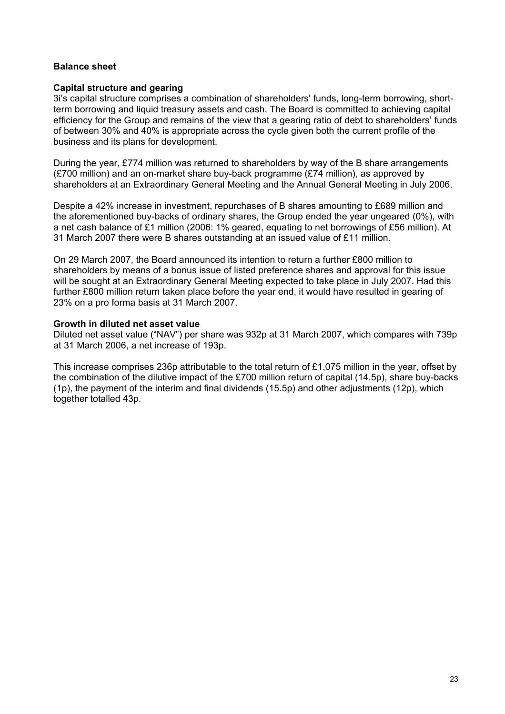# **Balance sheet**

### **Capital structure and gearing**

3i's capital structure comprises a combination of shareholders' funds, long-term borrowing, shortterm borrowing and liquid treasury assets and cash. The Board is committed to achieving capital efficiency for the Group and remains of the view that a gearing ratio of debt to shareholders' funds of between 30% and 40% is appropriate across the cycle given both the current profile of the business and its plans for development.

During the year, £774 million was returned to shareholders by way of the B share arrangements (£700 million) and an on-market share buy-back programme (£74 million), as approved by shareholders at an Extraordinary General Meeting and the Annual General Meeting in July 2006.

Despite a 42% increase in investment, repurchases of B shares amounting to £689 million and the aforementioned buy-backs of ordinary shares, the Group ended the year ungeared (0%), with a net cash balance of £1 million (2006: 1% geared, equating to net borrowings of £56 million). At 31 March 2007 there were B shares outstanding at an issued value of £11 million.

On 29 March 2007, the Board announced its intention to return a further £800 million to shareholders by means of a bonus issue of listed preference shares and approval for this issue will be sought at an Extraordinary General Meeting expected to take place in July 2007. Had this further £800 million return taken place before the year end, it would have resulted in gearing of 23% on a pro forma basis at 31 March 2007.

### **Growth in diluted net asset value**

Diluted net asset value ("NAV") per share was 932p at 31 March 2007, which compares with 739p at 31 March 2006, a net increase of 193p.

This increase comprises 236p attributable to the total return of £1,075 million in the year, offset by the combination of the dilutive impact of the £700 million return of capital (14.5p), share buy-backs (1p), the payment of the interim and final dividends (15.5p) and other adjustments (12p), which together totalled 43p.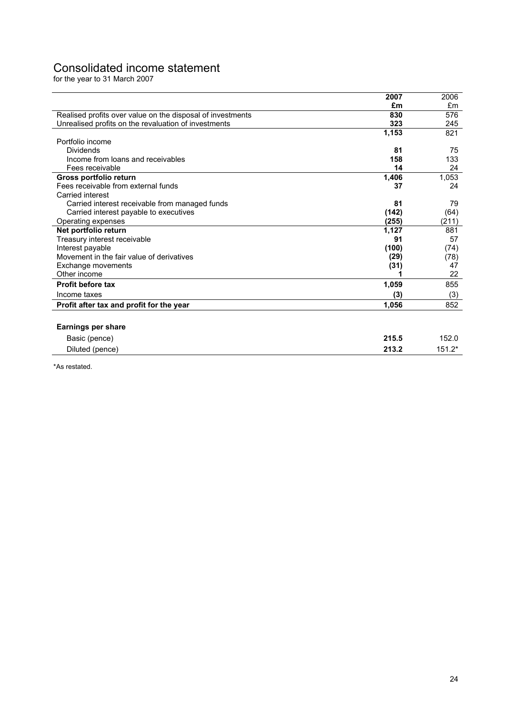# Consolidated income statement

for the year to 31 March 2007

|                                                            | 2007  | 2006     |
|------------------------------------------------------------|-------|----------|
|                                                            | £m    | £m       |
| Realised profits over value on the disposal of investments | 830   | 576      |
| Unrealised profits on the revaluation of investments       | 323   | 245      |
|                                                            | 1,153 | 821      |
| Portfolio income                                           |       |          |
| Dividends                                                  | 81    | 75       |
| Income from loans and receivables                          | 158   | 133      |
| Fees receivable                                            | 14    | 24       |
| Gross portfolio return                                     | 1,406 | 1.053    |
| Fees receivable from external funds                        | 37    | 24       |
| Carried interest                                           |       |          |
| Carried interest receivable from managed funds             | 81    | 79       |
| Carried interest payable to executives                     | (142) | (64)     |
| Operating expenses                                         | (255) | (211)    |
| Net portfolio return                                       | 1,127 | 881      |
| Treasury interest receivable                               | 91    | 57       |
| Interest payable                                           | (100) | (74)     |
| Movement in the fair value of derivatives                  | (29)  | (78)     |
| Exchange movements                                         | (31)  | 47       |
| Other income                                               |       | 22       |
| <b>Profit before tax</b>                                   | 1,059 | 855      |
| Income taxes                                               | (3)   | (3)      |
| Profit after tax and profit for the year                   | 1,056 | 852      |
|                                                            |       |          |
| <b>Earnings per share</b>                                  |       |          |
| Basic (pence)                                              | 215.5 | 152.0    |
| Diluted (pence)                                            | 213.2 | $151.2*$ |
|                                                            |       |          |

\*As restated.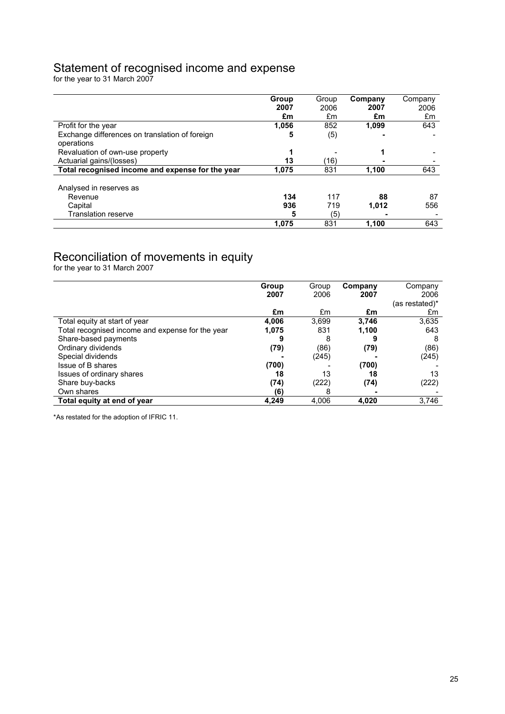# Statement of recognised income and expense

for the year to 31 March 2007

|                                                  | Group | Group | Company | Company |
|--------------------------------------------------|-------|-------|---------|---------|
|                                                  | 2007  | 2006  | 2007    | 2006    |
|                                                  | £m    | £m    | £m      | £m      |
| Profit for the year                              | 1.056 | 852   | 1.099   | 643     |
| Exchange differences on translation of foreign   | 5     | (5)   |         |         |
| operations                                       |       |       |         |         |
| Revaluation of own-use property                  |       |       |         |         |
| Actuarial gains/(losses)                         | 13    | 16)   |         |         |
| Total recognised income and expense for the year | 1.075 | 831   | 1.100   | 643     |
|                                                  |       |       |         |         |
| Analysed in reserves as                          |       |       |         |         |
| Revenue                                          | 134   | 117   | 88      | 87      |
| Capital                                          | 936   | 719   | 1,012   | 556     |
| Translation reserve                              | 5     | (5)   |         |         |
|                                                  | 1,075 | 831   | 1.100   | 643     |

# Reconciliation of movements in equity

for the year to 31 March 2007

|                                                  | Group | Group | Company | Company        |
|--------------------------------------------------|-------|-------|---------|----------------|
|                                                  | 2007  | 2006  | 2007    | 2006           |
|                                                  |       |       |         | (as restated)* |
|                                                  | £m    | £m    | £m      | £m             |
| Total equity at start of year                    | 4.006 | 3,699 | 3.746   | 3,635          |
| Total recognised income and expense for the year | 1.075 | 831   | 1,100   | 643            |
| Share-based payments                             | 9     | 8     |         |                |
| Ordinary dividends                               | (79)  | (86)  | (79)    | (86)           |
| Special dividends                                |       | (245) |         | (245)          |
| Issue of B shares                                | (700) |       | (700)   |                |
| Issues of ordinary shares                        | 18    | 13    | 18      | 13             |
| Share buy-backs                                  | (74)  | (222) | (74)    | (222)          |
| Own shares                                       | (6)   | 8     |         |                |
| Total equity at end of year                      | 4.249 | 4.006 | 4,020   | 3,746          |

\*As restated for the adoption of IFRIC 11.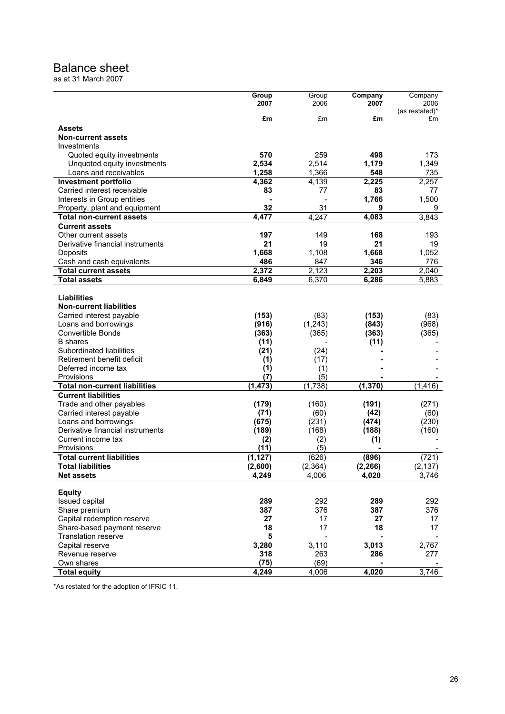# Balance sheet

as at 31 March 2007

|                                      | Group       | Group            | Company  | Company           |
|--------------------------------------|-------------|------------------|----------|-------------------|
|                                      | 2007        | 2006             | 2007     | 2006              |
|                                      |             |                  |          | (as restated)*    |
|                                      | £m          | £m               | £m       | £m                |
| <b>Assets</b>                        |             |                  |          |                   |
| <b>Non-current assets</b>            |             |                  |          |                   |
| Investments                          |             |                  |          |                   |
| Quoted equity investments            | 570         | 259              | 498      | 173               |
| Unquoted equity investments          | 2,534       | 2,514            | 1,179    | 1,349             |
| Loans and receivables                | 1,258       | 1,366            | 548      | 735               |
| <b>Investment portfolio</b>          | 4,362       | 4,139            | 2,225    | 2,257             |
| Carried interest receivable          |             |                  |          |                   |
|                                      | 83          | 77               | 83       | 77                |
| Interests in Group entities          |             |                  | 1,766    | 1,500             |
| Property, plant and equipment        | 32          | 31               | 9        | 9                 |
| <b>Total non-current assets</b>      | 4,477       | 4,247            | 4,083    | 3,843             |
| <b>Current assets</b>                |             |                  |          |                   |
| Other current assets                 | 197         | 149              | 168      | 193               |
| Derivative financial instruments     | 21          | 19               | 21       | 19                |
| Deposits                             | 1,668       | 1,108            | 1,668    | 1,052             |
| Cash and cash equivalents            | 486         | 847              | 346      | 776               |
| <b>Total current assets</b>          | 2,372       | 2,123            | 2,203    | 2,040             |
| <b>Total assets</b>                  | 6,849       | 6,370            | 6,286    | 5,883             |
|                                      |             |                  |          |                   |
| <b>Liabilities</b>                   |             |                  |          |                   |
| <b>Non-current liabilities</b>       |             |                  |          |                   |
|                                      | (153)       |                  |          |                   |
| Carried interest payable             |             | (83)             | (153)    | (83)              |
| Loans and borrowings                 | (916)       | (1, 243)         | (843)    | (968)             |
| Convertible Bonds                    | (363)       | (365)            | (363)    | (365)             |
| <b>B</b> shares                      | (11)        |                  | (11)     |                   |
| Subordinated liabilities             | (21)        | (24)             |          |                   |
| Retirement benefit deficit           | (1)         | (17)             |          |                   |
| Deferred income tax                  | (1)         | (1)              |          |                   |
| Provisions                           | (7)         | (5)              |          |                   |
| <b>Total non-current liabilities</b> | (1, 473)    | (1,738)          | (1, 370) | (1, 416)          |
| <b>Current liabilities</b>           |             |                  |          |                   |
| Trade and other payables             | (179)       | (160)            | (191)    | (271)             |
| Carried interest payable             | (71)        | (60)             | (42)     | (60)              |
| Loans and borrowings                 | (675)       | (231)            | (474)    | (230)             |
| Derivative financial instruments     | (189)       | (168)            | (188)    | (160)             |
| Current income tax                   |             |                  |          |                   |
| Provisions                           | (2)<br>(11) | (2)<br>(5)       | (1)      |                   |
| <b>Total current liabilities</b>     | (1, 127)    |                  | (896)    |                   |
| <b>Total liabilities</b>             | (2,600)     | (626)<br>(2.364) | (2, 266) | (721)             |
|                                      | 4,249       | 4,006            | 4,020    | (2, 137)<br>3,746 |
| <b>Net assets</b>                    |             |                  |          |                   |
| <b>Equity</b>                        |             |                  |          |                   |
| <b>Issued capital</b>                | 289         | 292              | 289      | 292               |
| Share premium                        | 387         | 376              | 387      | 376               |
| Capital redemption reserve           | 27          | 17               | 27       | 17                |
|                                      | 18          | 17               | 18       | 17                |
| Share-based payment reserve          |             |                  |          |                   |
| <b>Translation reserve</b>           | 5           |                  |          |                   |
| Capital reserve                      | 3,280       | 3,110            | 3,013    | 2,767             |
| Revenue reserve                      | 318         | 263              | 286      | 277               |
| Own shares                           | (75)        | (69)             |          |                   |
| <b>Total equity</b>                  | 4,249       | 4,006            | 4,020    | 3,746             |

\*As restated for the adoption of IFRIC 11.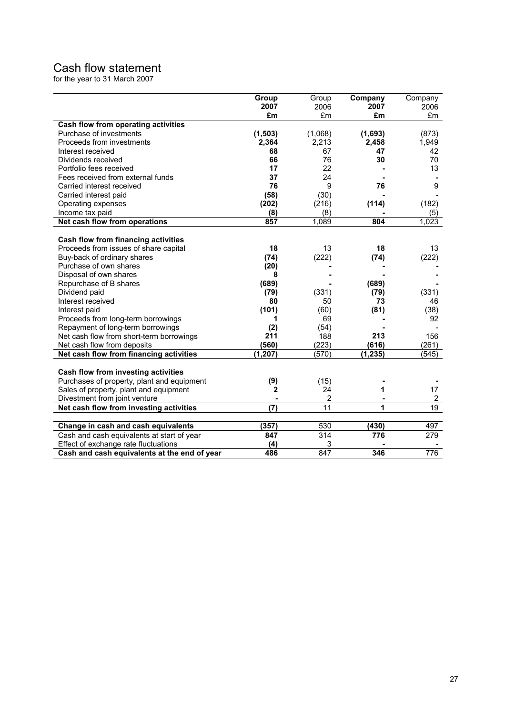# Cash flow statement

for the year to 31 March 2007

|                                              | Group    | Group   | Company  | Company        |
|----------------------------------------------|----------|---------|----------|----------------|
|                                              | 2007     | 2006    | 2007     | 2006           |
|                                              | £m       | £m      | £m       | £m             |
| Cash flow from operating activities          |          |         |          |                |
| Purchase of investments                      | (1, 503) | (1,068) | (1,693)  | (873)          |
| Proceeds from investments                    | 2,364    | 2,213   | 2,458    | 1,949          |
| Interest received                            | 68       | 67      | 47       | 42             |
| Dividends received                           | 66       | 76      | 30       | 70             |
| Portfolio fees received                      | 17       | 22      |          | 13             |
| Fees received from external funds            | 37       | 24      |          |                |
| Carried interest received                    | 76       | 9       | 76       | 9              |
| Carried interest paid                        | (58)     | (30)    |          |                |
| Operating expenses                           | (202)    | (216)   | (114)    | (182)          |
| Income tax paid                              | (8)      | (8)     |          | (5)            |
| Net cash flow from operations                | 857      | 1,089   | 804      | 1,023          |
|                                              |          |         |          |                |
| Cash flow from financing activities          |          |         |          |                |
| Proceeds from issues of share capital        | 18       | 13      | 18       | 13             |
| Buy-back of ordinary shares                  | (74)     | (222)   | (74)     | (222)          |
| Purchase of own shares                       | (20)     |         |          |                |
| Disposal of own shares                       | 8        |         |          |                |
| Repurchase of B shares                       | (689)    |         | (689)    |                |
| Dividend paid                                | (79)     | (331)   | (79)     | (331)          |
| Interest received                            | 80       | 50      | 73       | 46             |
| Interest paid                                | (101)    | (60)    | (81)     | (38)           |
| Proceeds from long-term borrowings           | 1        | 69      |          | 92             |
| Repayment of long-term borrowings            | (2)      | (54)    |          |                |
| Net cash flow from short-term borrowings     | 211      | 188     | 213      | 156            |
| Net cash flow from deposits                  | (560)    | (223)   | (616)    | (261)          |
| Net cash flow from financing activities      | (1, 207) | (570)   | (1, 235) | (545)          |
|                                              |          |         |          |                |
| Cash flow from investing activities          |          |         |          |                |
| Purchases of property, plant and equipment   | (9)      | (15)    |          |                |
| Sales of property, plant and equipment       | 2        | 24      | 1        | 17             |
| Divestment from joint venture                |          | 2       |          | $\overline{2}$ |
| Net cash flow from investing activities      | (7)      | 11      | 1        | 19             |
|                                              |          |         |          |                |
| Change in cash and cash equivalents          | (357)    | 530     | (430)    | 497            |
| Cash and cash equivalents at start of year   | 847      | 314     | 776      | 279            |
| Effect of exchange rate fluctuations         | (4)      | 3       |          |                |
| Cash and cash equivalents at the end of year | 486      | 847     | 346      | 776            |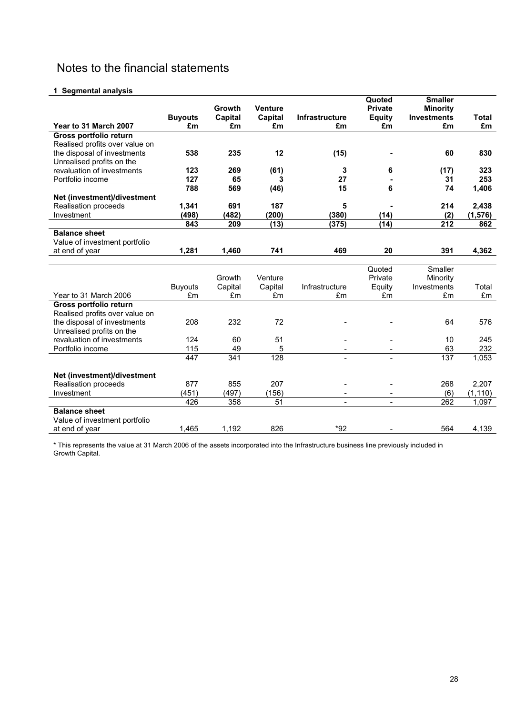# Notes to the financial statements

#### **1 Segmental analysis**

|                                    |                |           |                |                       | Quoted        | <b>Smaller</b>        |                 |
|------------------------------------|----------------|-----------|----------------|-----------------------|---------------|-----------------------|-----------------|
|                                    |                | Growth    | <b>Venture</b> |                       | Private       | <b>Minority</b>       |                 |
|                                    | <b>Buyouts</b> | Capital   | Capital        | <b>Infrastructure</b> | <b>Equity</b> | <b>Investments</b>    | <b>Total</b>    |
| Year to 31 March 2007              | £m             | £m        | £m             | £m                    | £m            | £m                    | £m              |
| Gross portfolio return             |                |           |                |                       |               |                       |                 |
| Realised profits over value on     |                |           |                |                       |               |                       |                 |
| the disposal of investments        | 538            | 235       | 12             | (15)                  |               | 60                    | 830             |
| Unrealised profits on the          |                |           |                |                       |               |                       |                 |
| revaluation of investments         | 123            | 269       | (61)           | 3                     | 6             | (17)                  | 323             |
| Portfolio income                   | 127<br>788     | 65<br>569 | 3              | 27<br>$\overline{15}$ | 6             | 31<br>$\overline{74}$ | 253             |
|                                    |                |           | (46)           |                       |               |                       | 1,406           |
| Net (investment)/divestment        |                | 691       | 187            | 5                     |               | 214                   |                 |
| Realisation proceeds<br>Investment | 1,341<br>(498) | (482)     | (200)          | (380)                 | (14)          |                       | 2,438           |
|                                    | 843            | 209       | (13)           | (375)                 | (14)          | (2)<br>212            | (1, 576)<br>862 |
| <b>Balance sheet</b>               |                |           |                |                       |               |                       |                 |
|                                    |                |           |                |                       |               |                       |                 |
| Value of investment portfolio      | 1,281          | 1,460     | 741            | 469                   | 20            | 391                   | 4,362           |
| at end of year                     |                |           |                |                       |               |                       |                 |
|                                    |                |           |                |                       | Quoted        | Smaller               |                 |
|                                    |                | Growth    | Venture        |                       | Private       | Minority              |                 |
|                                    | <b>Buyouts</b> | Capital   | Capital        | Infrastructure        | Equity        | Investments           | Total           |
| Year to 31 March 2006              | £m             | £m        | £m             | £m                    | £m            | £m                    | £m              |
| Gross portfolio return             |                |           |                |                       |               |                       |                 |
| Realised profits over value on     |                |           |                |                       |               |                       |                 |
| the disposal of investments        | 208            | 232       | 72             |                       |               | 64                    | 576             |
| Unrealised profits on the          |                |           |                |                       |               |                       |                 |
| revaluation of investments         | 124            | 60        | 51             |                       |               | 10                    | 245             |
| Portfolio income                   | 115            | 49        | 5              |                       |               | 63                    | 232             |
|                                    | 447            | 341       | 128            |                       |               | 137                   | 1,053           |
|                                    |                |           |                |                       |               |                       |                 |
| Net (investment)/divestment        |                |           |                |                       |               |                       |                 |
| Realisation proceeds               | 877            | 855       | 207            |                       |               | 268                   | 2,207           |
| Investment                         | (451)          | (497)     | (156)          |                       |               | (6)                   | (1, 110)        |
|                                    | 426            | 358       | 51             | $\overline{a}$        |               | 262                   | 1,097           |
| <b>Balance sheet</b>               |                |           |                |                       |               |                       |                 |
|                                    |                |           |                |                       |               |                       |                 |
| Value of investment portfolio      |                |           |                |                       |               |                       |                 |

\* This represents the value at 31 March 2006 of the assets incorporated into the Infrastructure business line previously included in Growth Capital.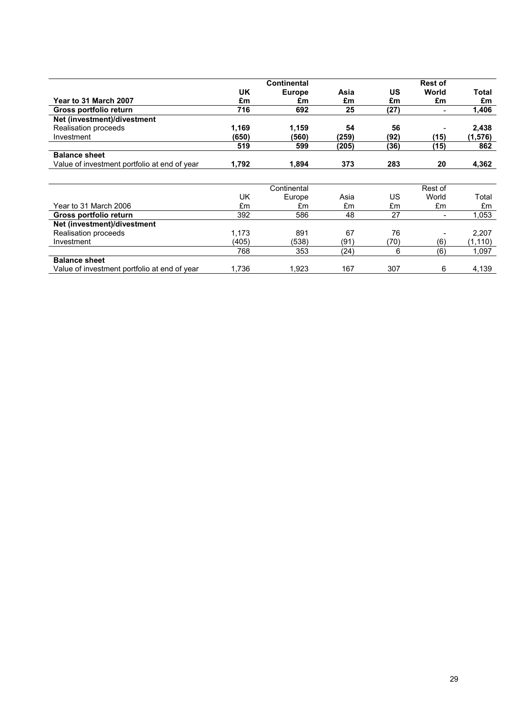|                                              |           | <b>Continental</b> |       |           | <b>Rest of</b>           |          |
|----------------------------------------------|-----------|--------------------|-------|-----------|--------------------------|----------|
|                                              | <b>UK</b> | <b>Europe</b>      | Asia  | <b>US</b> | World                    | Total    |
| Year to 31 March 2007                        | £m        | £m                 | £m    | £m        | £m                       | £m       |
| Gross portfolio return                       | 716       | 692                | 25    | (27)      | $\overline{\phantom{0}}$ | 1,406    |
| Net (investment)/divestment                  |           |                    |       |           |                          |          |
| Realisation proceeds                         | 1,169     | 1,159              | 54    | 56        |                          | 2,438    |
| Investment                                   | (650)     | (560)              | (259) | (92)      | (15)                     | (1, 576) |
|                                              | 519       | 599                | (205) | (36)      | (15)                     | 862      |
| <b>Balance sheet</b>                         |           |                    |       |           |                          |          |
| Value of investment portfolio at end of year | 1,792     | 1,894              | 373   | 283       | 20                       | 4,362    |
|                                              |           |                    |       |           |                          |          |
|                                              |           | Continental        |       |           | Rest of                  |          |
|                                              | UK        |                    | Asia  | <b>US</b> | World                    | Total    |
|                                              |           | Europe             |       |           |                          |          |
| Year to 31 March 2006                        | £m        | £m                 | £m    | £m        | £m                       | £m       |
| Gross portfolio return                       | 392       | 586                | 48    | 27        |                          | 1,053    |
| Net (investment)/divestment                  |           |                    |       |           |                          |          |
| Realisation proceeds                         | 1,173     | 891                | 67    | 76        |                          | 2,207    |
| Investment                                   | (405)     | (538)              | (91)  | (70)      | (6)                      | (1, 110) |
|                                              | 768       | 353                | (24)  | 6         | (6)                      | 1,097    |
| <b>Balance sheet</b>                         |           |                    |       |           |                          |          |
| Value of investment portfolio at end of year | 1,736     | 1,923              | 167   | 307       | 6                        | 4,139    |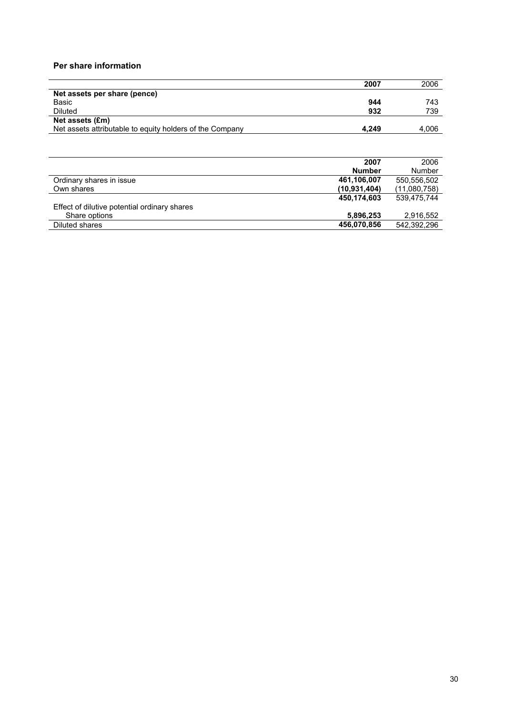### **Per share information**

|                                                          | 2007  | 2006  |
|----------------------------------------------------------|-------|-------|
| Net assets per share (pence)                             |       |       |
| Basic                                                    | 944   | 743   |
| <b>Diluted</b>                                           | 932   | 739   |
| Net assets (£m)                                          |       |       |
| Net assets attributable to equity holders of the Company | 4.249 | 4,006 |

|                                              | 2007           | 2006         |
|----------------------------------------------|----------------|--------------|
|                                              | <b>Number</b>  | Number       |
| Ordinary shares in issue                     | 461,106,007    | 550,556,502  |
| Own shares                                   | (10, 931, 404) | (11,080,758) |
|                                              | 450,174,603    | 539.475.744  |
| Effect of dilutive potential ordinary shares |                |              |
| Share options                                | 5,896,253      | 2,916,552    |
| Diluted shares                               | 456,070,856    | 542,392,296  |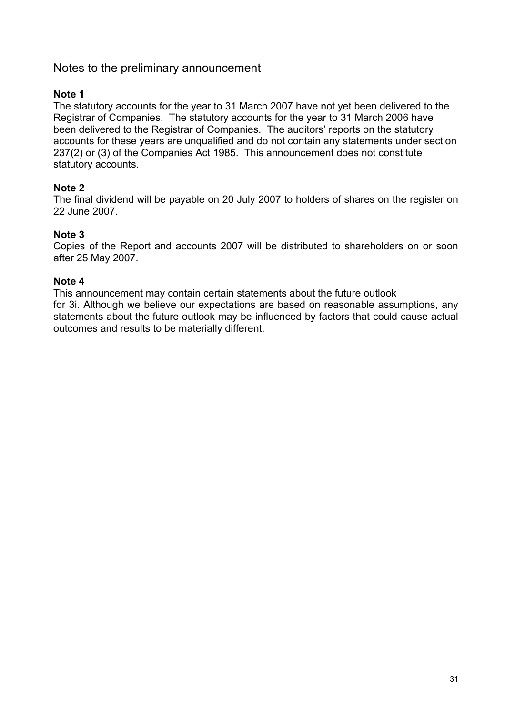# Notes to the preliminary announcement

# **Note 1**

The statutory accounts for the year to 31 March 2007 have not yet been delivered to the Registrar of Companies. The statutory accounts for the year to 31 March 2006 have been delivered to the Registrar of Companies. The auditors' reports on the statutory accounts for these years are unqualified and do not contain any statements under section 237(2) or (3) of the Companies Act 1985. This announcement does not constitute statutory accounts.

# **Note 2**

The final dividend will be payable on 20 July 2007 to holders of shares on the register on 22 June 2007.

# **Note 3**

Copies of the Report and accounts 2007 will be distributed to shareholders on or soon after 25 May 2007.

# **Note 4**

This announcement may contain certain statements about the future outlook for 3i. Although we believe our expectations are based on reasonable assumptions, any statements about the future outlook may be influenced by factors that could cause actual outcomes and results to be materially different.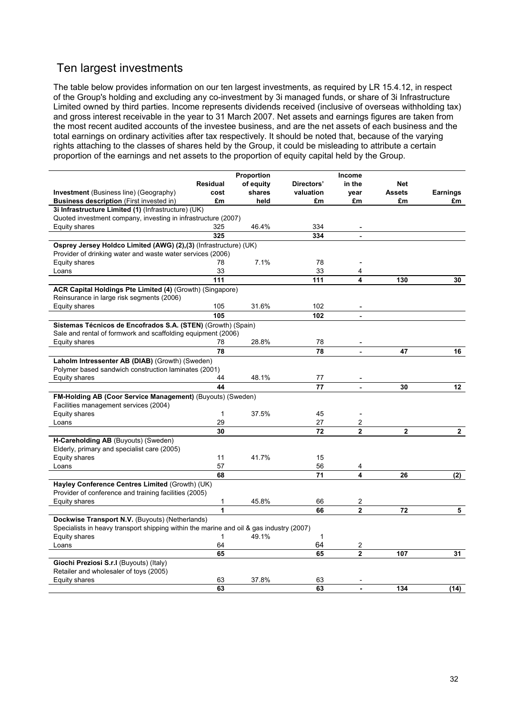# Ten largest investments

The table below provides information on our ten largest investments, as required by LR 15.4.12, in respect of the Group's holding and excluding any co-investment by 3i managed funds, or share of 3i Infrastructure Limited owned by third parties. Income represents dividends received (inclusive of overseas withholding tax) and gross interest receivable in the year to 31 March 2007. Net assets and earnings figures are taken from the most recent audited accounts of the investee business, and are the net assets of each business and the total earnings on ordinary activities after tax respectively. It should be noted that, because of the varying rights attaching to the classes of shares held by the Group, it could be misleading to attribute a certain proportion of the earnings and net assets to the proportion of equity capital held by the Group.

|                                                                                                                                |                 | Proportion |              | Income         |               |                 |
|--------------------------------------------------------------------------------------------------------------------------------|-----------------|------------|--------------|----------------|---------------|-----------------|
|                                                                                                                                | <b>Residual</b> | of equity  | Directors'   | in the         | <b>Net</b>    |                 |
| <b>Investment</b> (Business line) (Geography)                                                                                  | cost            | shares     | valuation    | year           | <b>Assets</b> | <b>Earnings</b> |
| <b>Business description</b> (First invested in)                                                                                | £m              | held       | £m           | £m             | £m            | £m              |
| 3i Infrastructure Limited (1) (Infrastructure) (UK)                                                                            |                 |            |              |                |               |                 |
| Quoted investment company, investing in infrastructure (2007)                                                                  |                 |            |              |                |               |                 |
| Equity shares                                                                                                                  | 325             | 46.4%      | 334          |                |               |                 |
|                                                                                                                                | 325             |            | 334          |                |               |                 |
| Osprey Jersey Holdco Limited (AWG) (2),(3) (Infrastructure) (UK)<br>Provider of drinking water and waste water services (2006) |                 |            |              |                |               |                 |
| Equity shares                                                                                                                  | 78              | 7.1%       | 78           | ÷              |               |                 |
| Loans                                                                                                                          | 33              |            | 33           | 4              |               |                 |
|                                                                                                                                | 111             |            | 111          | 4              | 130           | 30              |
| ACR Capital Holdings Pte Limited (4) (Growth) (Singapore)                                                                      |                 |            |              |                |               |                 |
| Reinsurance in large risk segments (2006)                                                                                      |                 |            |              |                |               |                 |
| Equity shares                                                                                                                  | 105             | 31.6%      | 102          |                |               |                 |
|                                                                                                                                | 105             |            | 102          |                |               |                 |
| Sistemas Técnicos de Encofrados S.A. (STEN) (Growth) (Spain)                                                                   |                 |            |              |                |               |                 |
| Sale and rental of formwork and scaffolding equipment (2006)                                                                   |                 |            |              |                |               |                 |
| Equity shares                                                                                                                  | 78              | 28.8%      | 78           |                |               |                 |
|                                                                                                                                | 78              |            | 78           | ÷,             | 47            | 16              |
| Laholm Intressenter AB (DIAB) (Growth) (Sweden)                                                                                |                 |            |              |                |               |                 |
| Polymer based sandwich construction laminates (2001)                                                                           |                 |            |              |                |               |                 |
| Equity shares                                                                                                                  | 44              | 48.1%      | 77           |                |               |                 |
|                                                                                                                                | 44              |            | 77           | $\overline{a}$ | 30            | 12              |
| FM-Holding AB (Coor Service Management) (Buyouts) (Sweden)                                                                     |                 |            |              |                |               |                 |
| Facilities management services (2004)                                                                                          |                 |            |              |                |               |                 |
| Equity shares                                                                                                                  | 1               | 37.5%      | 45           |                |               |                 |
| Loans                                                                                                                          | 29              |            | 27           | 2              |               |                 |
|                                                                                                                                | 30              |            | 72           | $\overline{2}$ | $\mathbf 2$   | $\mathbf{2}$    |
| H-Careholding AB (Buyouts) (Sweden)                                                                                            |                 |            |              |                |               |                 |
| Elderly, primary and specialist care (2005)                                                                                    |                 |            |              |                |               |                 |
| Equity shares                                                                                                                  | 11              | 41.7%      | 15           |                |               |                 |
| Loans                                                                                                                          | 57              |            | 56           | 4              |               |                 |
|                                                                                                                                | 68              |            | 71           | 4              | 26            | (2)             |
| Hayley Conference Centres Limited (Growth) (UK)                                                                                |                 |            |              |                |               |                 |
| Provider of conference and training facilities (2005)                                                                          |                 |            |              |                |               |                 |
| Equity shares                                                                                                                  | 1               | 45.8%      | 66           | 2              |               |                 |
|                                                                                                                                | 1               |            | 66           | $\overline{2}$ | 72            | 5               |
| Dockwise Transport N.V. (Buyouts) (Netherlands)                                                                                |                 |            |              |                |               |                 |
| Specialists in heavy transport shipping within the marine and oil & gas industry (2007)                                        |                 |            |              |                |               |                 |
| Equity shares                                                                                                                  | 1               | 49.1%      | $\mathbf{1}$ |                |               |                 |
| Loans                                                                                                                          | 64              |            | 64           | 2              |               |                 |
|                                                                                                                                | 65              |            | 65           | $\mathbf{2}$   | 107           | 31              |
| Giochi Preziosi S.r.I (Buyouts) (Italy)                                                                                        |                 |            |              |                |               |                 |
| Retailer and wholesaler of toys (2005)                                                                                         |                 |            |              |                |               |                 |
| <b>Equity shares</b>                                                                                                           | 63              | 37.8%      | 63           |                |               |                 |
|                                                                                                                                | 63              |            | 63           | ÷              | 134           | (14)            |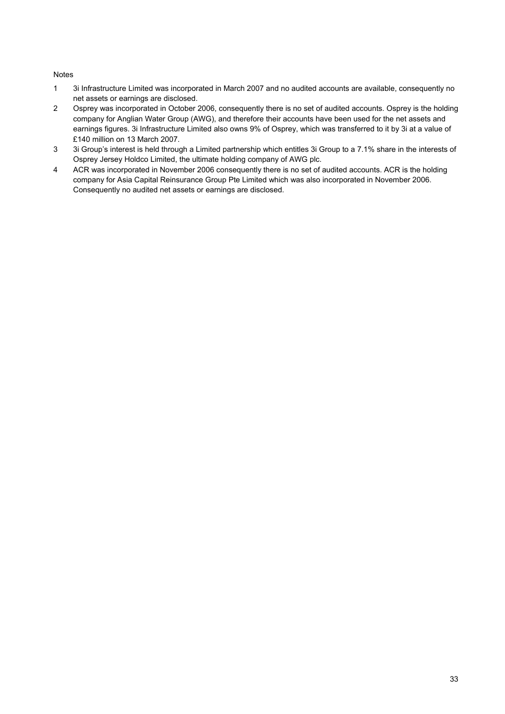#### Notes

- 1 3i Infrastructure Limited was incorporated in March 2007 and no audited accounts are available, consequently no net assets or earnings are disclosed.
- 2 Osprey was incorporated in October 2006, consequently there is no set of audited accounts. Osprey is the holding company for Anglian Water Group (AWG), and therefore their accounts have been used for the net assets and earnings figures. 3i Infrastructure Limited also owns 9% of Osprey, which was transferred to it by 3i at a value of £140 million on 13 March 2007.
- 3 3i Group's interest is held through a Limited partnership which entitles 3i Group to a 7.1% share in the interests of Osprey Jersey Holdco Limited, the ultimate holding company of AWG plc.
- 4 ACR was incorporated in November 2006 consequently there is no set of audited accounts. ACR is the holding company for Asia Capital Reinsurance Group Pte Limited which was also incorporated in November 2006. Consequently no audited net assets or earnings are disclosed.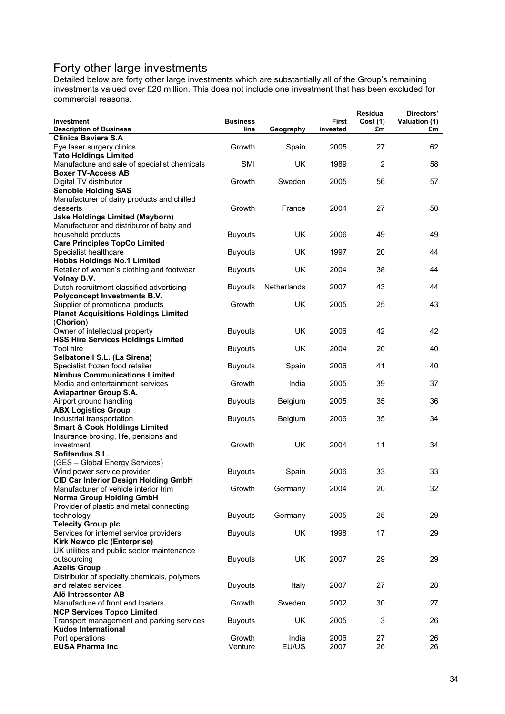# Forty other large investments

Detailed below are forty other large investments which are substantially all of the Group's remaining investments valued over £20 million. This does not include one investment that has been excluded for commercial reasons.

| Investment<br><b>Description of Business</b>                                                                            | <b>Business</b><br>line | Geography      | <b>First</b><br>invested | Residual<br>Cost(1)<br>£m | Directors'<br>Valuation (1)<br>£m |
|-------------------------------------------------------------------------------------------------------------------------|-------------------------|----------------|--------------------------|---------------------------|-----------------------------------|
| Clínica Baviera S.A<br>Eye laser surgery clinics                                                                        | Growth                  | Spain          | 2005                     | 27                        | 62                                |
| <b>Tato Holdings Limited</b><br>Manufacture and sale of specialist chemicals                                            | <b>SMI</b>              | <b>UK</b>      | 1989                     | $\overline{2}$            | 58                                |
| <b>Boxer TV-Access AB</b><br>Digital TV distributor                                                                     | Growth                  | Sweden         | 2005                     | 56                        | 57                                |
| <b>Senoble Holding SAS</b><br>Manufacturer of dairy products and chilled                                                |                         |                |                          |                           |                                   |
| desserts<br><b>Jake Holdings Limited (Mayborn)</b>                                                                      | Growth                  | France         | 2004                     | 27                        | 50                                |
| Manufacturer and distributor of baby and<br>household products<br><b>Care Principles TopCo Limited</b>                  | <b>Buyouts</b>          | <b>UK</b>      | 2006                     | 49                        | 49                                |
| Specialist healthcare<br><b>Hobbs Holdings No.1 Limited</b>                                                             | <b>Buyouts</b>          | <b>UK</b>      | 1997                     | 20                        | 44                                |
| Retailer of women's clothing and footwear<br>Volnay B.V.                                                                | <b>Buyouts</b>          | UK             | 2004                     | 38                        | 44                                |
| Dutch recruitment classified advertising<br>Polyconcept Investments B.V.                                                | <b>Buyouts</b>          | Netherlands    | 2007                     | 43                        | 44                                |
| Supplier of promotional products<br><b>Planet Acquisitions Holdings Limited</b>                                         | Growth                  | <b>UK</b>      | 2005                     | 25                        | 43                                |
| (Chorion)<br>Owner of intellectual property                                                                             | <b>Buyouts</b>          | <b>UK</b>      | 2006                     | 42                        | 42                                |
| <b>HSS Hire Services Holdings Limited</b><br><b>Tool hire</b><br>Selbatoneil S.L. (La Sirena)                           | <b>Buyouts</b>          | <b>UK</b>      | 2004                     | 20                        | 40                                |
| Specialist frozen food retailer<br><b>Nimbus Communications Limited</b>                                                 | <b>Buyouts</b>          | Spain          | 2006                     | 41                        | 40                                |
| Media and entertainment services<br><b>Aviapartner Group S.A.</b>                                                       | Growth                  | India          | 2005                     | 39                        | 37                                |
| Airport ground handling<br><b>ABX Logistics Group</b>                                                                   | <b>Buyouts</b>          | Belgium        | 2005                     | 35                        | 36                                |
| Industrial transportation<br><b>Smart &amp; Cook Holdings Limited</b>                                                   | <b>Buyouts</b>          | Belgium        | 2006                     | 35                        | 34                                |
| Insurance broking, life, pensions and<br>investment<br>Sofitandus S.L.                                                  | Growth                  | <b>UK</b>      | 2004                     | 11                        | 34                                |
| (GES - Global Energy Services)<br>Wind power service provider                                                           | <b>Buyouts</b>          | Spain          | 2006                     | 33                        | 33                                |
| <b>CID Car Interior Design Holding GmbH</b><br>Manufacturer of vehicle interior trim<br><b>Norma Group Holding GmbH</b> | Growth                  | Germany        | 2004                     | 20                        | 32                                |
| Provider of plastic and metal connecting<br>technology                                                                  | <b>Buyouts</b>          | Germany        | 2005                     | 25                        | 29                                |
| <b>Telecity Group plc</b><br>Services for internet service providers                                                    | <b>Buyouts</b>          | UK             | 1998                     | 17                        | 29                                |
| Kirk Newco plc (Enterprise)<br>UK utilities and public sector maintenance<br>outsourcing                                | <b>Buyouts</b>          | <b>UK</b>      | 2007                     | 29                        | 29                                |
| <b>Azelis Group</b><br>Distributor of specialty chemicals, polymers                                                     |                         |                |                          |                           |                                   |
| and related services<br>Alö Intressenter AB                                                                             | <b>Buyouts</b>          | Italy          | 2007                     | 27                        | 28                                |
| Manufacture of front end loaders<br><b>NCP Services Topco Limited</b>                                                   | Growth                  | Sweden         | 2002                     | 30                        | 27                                |
| Transport management and parking services<br><b>Kudos International</b>                                                 | <b>Buyouts</b>          | UK             | 2005                     | 3                         | 26                                |
| Port operations<br><b>EUSA Pharma Inc</b>                                                                               | Growth<br>Venture       | India<br>EU/US | 2006<br>2007             | 27<br>26                  | 26<br>26                          |